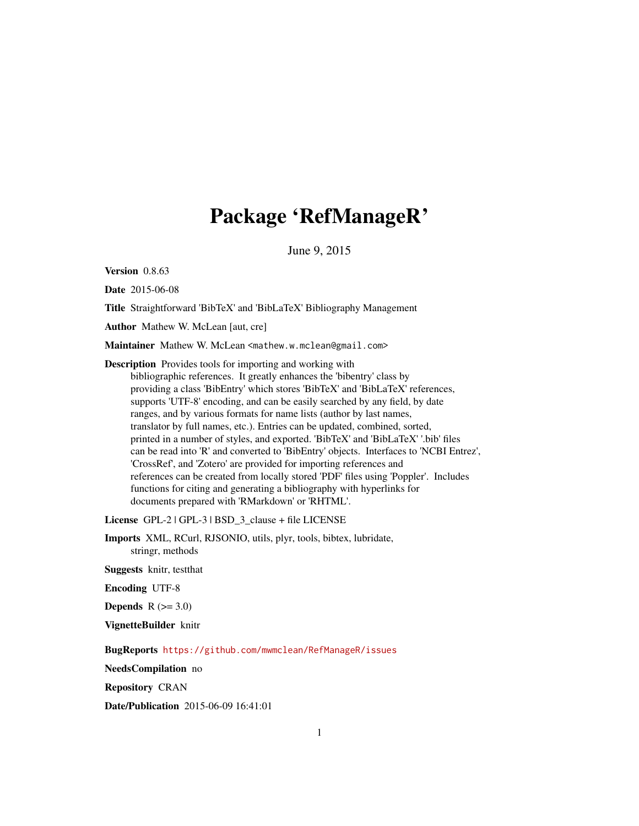# Package 'RefManageR'

June 9, 2015

<span id="page-0-0"></span>Version 0.8.63

Date 2015-06-08

Title Straightforward 'BibTeX' and 'BibLaTeX' Bibliography Management

Author Mathew W. McLean [aut, cre]

Maintainer Mathew W. McLean <mathew.w.mclean@gmail.com>

Description Provides tools for importing and working with bibliographic references. It greatly enhances the 'bibentry' class by providing a class 'BibEntry' which stores 'BibTeX' and 'BibLaTeX' references, supports 'UTF-8' encoding, and can be easily searched by any field, by date ranges, and by various formats for name lists (author by last names, translator by full names, etc.). Entries can be updated, combined, sorted, printed in a number of styles, and exported. 'BibTeX' and 'BibLaTeX' '.bib' files can be read into 'R' and converted to 'BibEntry' objects. Interfaces to 'NCBI Entrez', 'CrossRef', and 'Zotero' are provided for importing references and references can be created from locally stored 'PDF' files using 'Poppler'. Includes functions for citing and generating a bibliography with hyperlinks for documents prepared with 'RMarkdown' or 'RHTML'.

License GPL-2 | GPL-3 | BSD\_3\_clause + file LICENSE

Imports XML, RCurl, RJSONIO, utils, plyr, tools, bibtex, lubridate, stringr, methods

Suggests knitr, testthat

Encoding UTF-8

Depends  $R$  ( $>= 3.0$ )

VignetteBuilder knitr

BugReports <https://github.com/mwmclean/RefManageR/issues>

NeedsCompilation no

Repository CRAN

Date/Publication 2015-06-09 16:41:01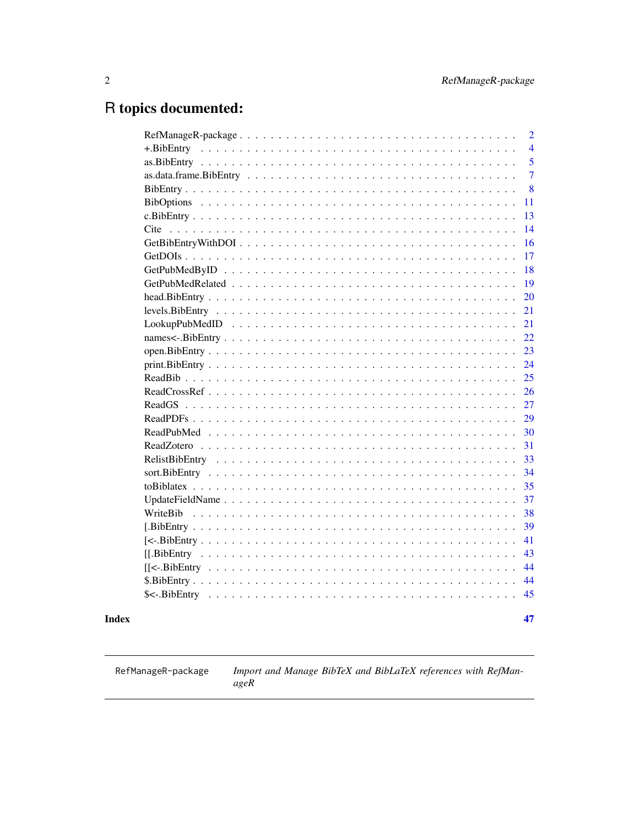# <span id="page-1-0"></span>R topics documented:

|                                                                                                                    | $\overline{2}$ |
|--------------------------------------------------------------------------------------------------------------------|----------------|
| $+$ .BibEntry                                                                                                      | 4              |
|                                                                                                                    | 5              |
|                                                                                                                    | $\overline{7}$ |
|                                                                                                                    | 8              |
|                                                                                                                    | 11             |
|                                                                                                                    | 13             |
| Cite                                                                                                               | 14             |
| $GetBibEntryWithDOI \dots \dots \dots \dots \dots \dots \dots \dots \dots \dots \dots \dots \dots \dots \dots$     | 16             |
|                                                                                                                    | 17             |
|                                                                                                                    | 18             |
| $GetPubMedRelated \dots \dots \dots \dots \dots \dots \dots \dots \dots \dots \dots \dots \dots \dots \dots \dots$ | 19             |
|                                                                                                                    | 20             |
|                                                                                                                    | 21             |
|                                                                                                                    | 21             |
|                                                                                                                    | 22             |
|                                                                                                                    | 23             |
|                                                                                                                    | 24             |
|                                                                                                                    | 25             |
|                                                                                                                    | 26             |
|                                                                                                                    | 27             |
|                                                                                                                    | 29             |
|                                                                                                                    | 30             |
|                                                                                                                    | 31             |
|                                                                                                                    | 33             |
|                                                                                                                    | 34             |
|                                                                                                                    | 35             |
|                                                                                                                    | 37             |
| WriteBib                                                                                                           | 38             |
|                                                                                                                    | 39             |
|                                                                                                                    | 41             |
|                                                                                                                    | 43             |
|                                                                                                                    | 44             |
|                                                                                                                    | 44             |
|                                                                                                                    | 45             |
|                                                                                                                    |                |
|                                                                                                                    | 47             |

## **Index**

RefManageR-package

Import and Manage BibTeX and BibLaTeX references with RefMan $ageR$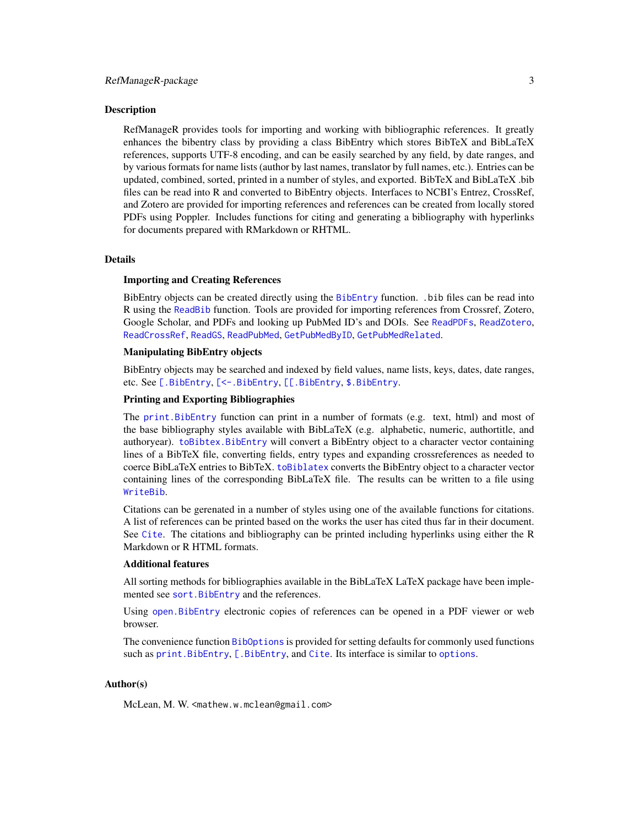#### <span id="page-2-0"></span>Description

RefManageR provides tools for importing and working with bibliographic references. It greatly enhances the bibentry class by providing a class BibEntry which stores BibTeX and BibLaTeX references, supports UTF-8 encoding, and can be easily searched by any field, by date ranges, and by various formats for name lists (author by last names, translator by full names, etc.). Entries can be updated, combined, sorted, printed in a number of styles, and exported. BibTeX and BibLaTeX .bib files can be read into R and converted to BibEntry objects. Interfaces to NCBI's Entrez, CrossRef, and Zotero are provided for importing references and references can be created from locally stored PDFs using Poppler. Includes functions for citing and generating a bibliography with hyperlinks for documents prepared with RMarkdown or RHTML.

#### Details

#### Importing and Creating References

BibEntry objects can be created directly using the [BibEntry](#page-7-1) function. .bib files can be read into R using the [ReadBib](#page-24-1) function. Tools are provided for importing references from Crossref, Zotero, Google Scholar, and PDFs and looking up PubMed ID's and DOIs. See [ReadPDFs](#page-28-1), [ReadZotero](#page-30-1), [ReadCrossRef](#page-25-1), [ReadGS](#page-26-1), [ReadPubMed](#page-29-1), [GetPubMedByID](#page-17-1), [GetPubMedRelated](#page-18-1).

## Manipulating BibEntry objects

BibEntry objects may be searched and indexed by field values, name lists, keys, dates, date ranges, etc. See [\[.BibEntry](#page-38-1), [\[<-.BibEntry](#page-40-1), [\[\[.BibEntry](#page-42-1), [\\$.BibEntry](#page-43-1).

#### Printing and Exporting Bibliographies

The [print.BibEntry](#page-23-1) function can print in a number of formats (e.g. text, html) and most of the base bibliography styles available with BibLaTeX (e.g. alphabetic, numeric, authortitle, and authoryear). [toBibtex.BibEntry](#page-34-1) will convert a BibEntry object to a character vector containing lines of a BibTeX file, converting fields, entry types and expanding crossreferences as needed to coerce BibLaTeX entries to BibTeX. [toBiblatex](#page-34-2) converts the BibEntry object to a character vector containing lines of the corresponding BibLaTeX file. The results can be written to a file using [WriteBib](#page-37-1).

Citations can be gerenated in a number of styles using one of the available functions for citations. A list of references can be printed based on the works the user has cited thus far in their document. See [Cite](#page-13-1). The citations and bibliography can be printed including hyperlinks using either the R Markdown or R HTML formats.

#### Additional features

All sorting methods for bibliographies available in the BibLaTeX LaTeX package have been implemented see sort. BibEntry and the references.

Using [open.BibEntry](#page-22-1) electronic copies of references can be opened in a PDF viewer or web browser.

The convenience function [BibOptions](#page-10-1) is provided for setting defaults for commonly used functions such as [print.BibEntry](#page-23-1), [\[.BibEntry](#page-38-1), and [Cite](#page-13-1). Its interface is similar to [options](#page-0-0).

#### Author(s)

McLean, M. W. <mathew.w.mclean@gmail.com>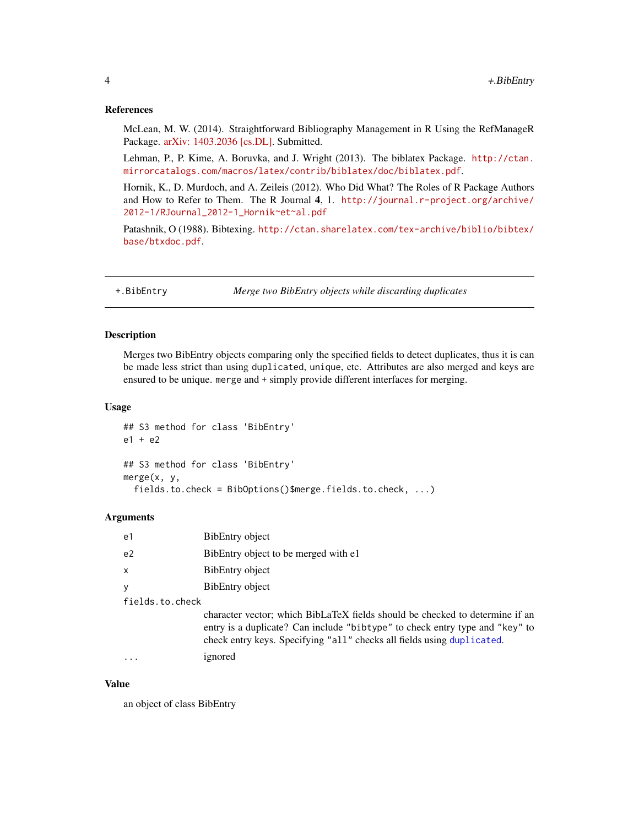#### <span id="page-3-0"></span>References

McLean, M. W. (2014). Straightforward Bibliography Management in R Using the RefManageR Package. [arXiv: 1403.2036 \[cs.DL\].](http://arxiv.org/abs/1403.2036) Submitted.

Lehman, P., P. Kime, A. Boruvka, and J. Wright (2013). The biblatex Package. [http://ctan.](http://ctan.mirrorcatalogs.com/macros/latex/contrib/biblatex/doc/biblatex.pdf) [mirrorcatalogs.com/macros/latex/contrib/biblatex/doc/biblatex.pdf](http://ctan.mirrorcatalogs.com/macros/latex/contrib/biblatex/doc/biblatex.pdf).

Hornik, K., D. Murdoch, and A. Zeileis (2012). Who Did What? The Roles of R Package Authors and How to Refer to Them. The R Journal 4, 1. [http://journal.r-project.org/archive/](http://journal.r-project.org/archive/2012-1/RJournal_2012-1_Hornik~et~al.pdf) [2012-1/RJournal\\_2012-1\\_Hornik~et~al.pdf](http://journal.r-project.org/archive/2012-1/RJournal_2012-1_Hornik~et~al.pdf)

Patashnik, O (1988). Bibtexing. [http://ctan.sharelatex.com/tex-archive/biblio/bibtex/](http://ctan.sharelatex.com/tex-archive/biblio/bibtex/base/btxdoc.pdf) [base/btxdoc.pdf](http://ctan.sharelatex.com/tex-archive/biblio/bibtex/base/btxdoc.pdf).

<span id="page-3-2"></span>+.BibEntry *Merge two BibEntry objects while discarding duplicates*

## <span id="page-3-1"></span>Description

Merges two BibEntry objects comparing only the specified fields to detect duplicates, thus it is can be made less strict than using duplicated, unique, etc. Attributes are also merged and keys are ensured to be unique. merge and + simply provide different interfaces for merging.

#### Usage

```
## S3 method for class 'BibEntry'
e1 + e2
## S3 method for class 'BibEntry'
merge(x, y,
  fields.to.check = BibOptions()$merge.fields.to.check, ...)
```
#### Arguments

| e1              | BibEntry object                                                                                                                                                                                                                        |
|-----------------|----------------------------------------------------------------------------------------------------------------------------------------------------------------------------------------------------------------------------------------|
| e <sub>2</sub>  | BibEntry object to be merged with e1                                                                                                                                                                                                   |
| $\mathsf{x}$    | BibEntry object                                                                                                                                                                                                                        |
| y               | BibEntry object                                                                                                                                                                                                                        |
| fields.to.check |                                                                                                                                                                                                                                        |
|                 | character vector; which BibLaTeX fields should be checked to determine if an<br>entry is a duplicate? Can include "bibtype" to check entry type and "key" to<br>check entry keys. Specifying "all" checks all fields using duplicated. |
|                 | ignored                                                                                                                                                                                                                                |
|                 |                                                                                                                                                                                                                                        |

## Value

an object of class BibEntry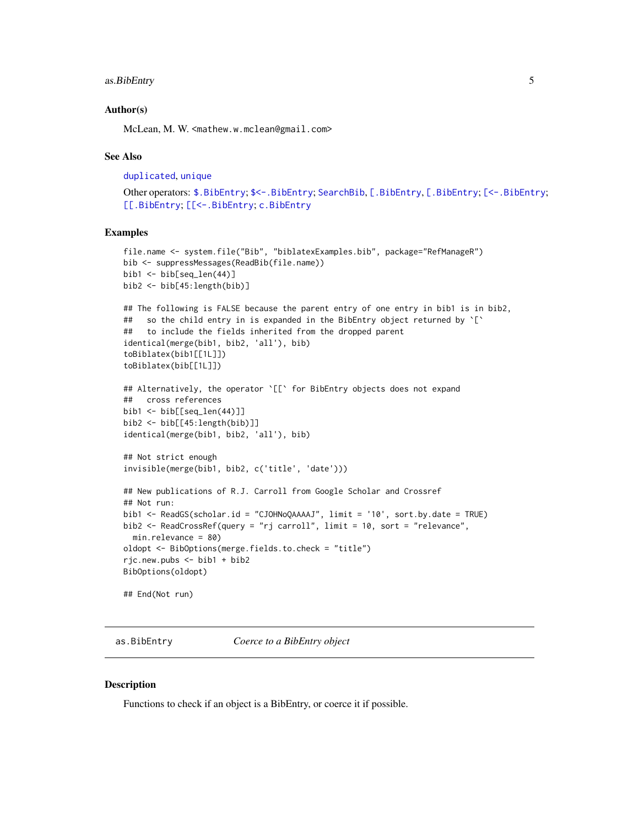## <span id="page-4-0"></span>as.BibEntry 5

#### Author(s)

McLean, M. W. <mathew.w.mclean@gmail.com>

#### See Also

[duplicated](#page-0-0), [unique](#page-0-0)

Other operators: [\\$.BibEntry](#page-43-1); [\\$<-.BibEntry](#page-44-1); [SearchBib](#page-38-2), [\[.BibEntry](#page-38-1), [.BibEntry; [\[<-.BibEntry](#page-40-1); [\[\[.BibEntry](#page-42-1); [\[\[<-.BibEntry](#page-43-2); [c.BibEntry](#page-12-1)

## Examples

```
file.name <- system.file("Bib", "biblatexExamples.bib", package="RefManageR")
bib <- suppressMessages(ReadBib(file.name))
bib1 \leftarrow bib[seq_len(44)]
bib2 <- bib[45:length(bib)]
## The following is FALSE because the parent entry of one entry in bib1 is in bib2,
## so the child entry in is expanded in the BibEntry object returned by `[`
## to include the fields inherited from the dropped parent
identical(merge(bib1, bib2, 'all'), bib)
toBiblatex(bib1[[1L]])
toBiblatex(bib[[1L]])
## Alternatively, the operator `[[` for BibEntry objects does not expand
## cross references
bib1 <- bib[[seq_len(44)]]
bib2 <- bib[[45:length(bib)]]
identical(merge(bib1, bib2, 'all'), bib)
## Not strict enough
invisible(merge(bib1, bib2, c('title', 'date')))
## New publications of R.J. Carroll from Google Scholar and Crossref
## Not run:
bib1 <- ReadGS(scholar.id = "CJOHNoQAAAAJ", limit = '10', sort.by.date = TRUE)
bib2 <- ReadCrossRef(query = "rj carroll", limit = 10, sort = "relevance",
  min.relevance = 80)
oldopt <- BibOptions(merge.fields.to.check = "title")
rjc.new.pubs <- bib1 + bib2
BibOptions(oldopt)
```
## End(Not run)

<span id="page-4-1"></span>as.BibEntry *Coerce to a BibEntry object*

#### Description

Functions to check if an object is a BibEntry, or coerce it if possible.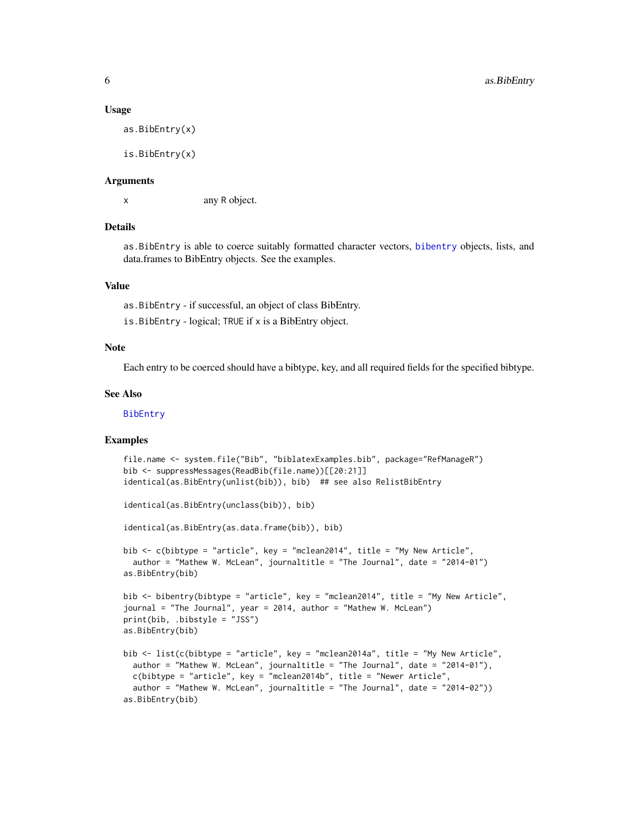#### Usage

as.BibEntry(x)

is.BibEntry(x)

#### Arguments

x any R object.

## Details

as.BibEntry is able to coerce suitably formatted character vectors, [bibentry](#page-0-0) objects, lists, and data.frames to BibEntry objects. See the examples.

#### Value

as.BibEntry - if successful, an object of class BibEntry. is.BibEntry - logical; TRUE if x is a BibEntry object.

## Note

Each entry to be coerced should have a bibtype, key, and all required fields for the specified bibtype.

#### See Also

[BibEntry](#page-7-1)

#### Examples

```
file.name <- system.file("Bib", "biblatexExamples.bib", package="RefManageR")
bib <- suppressMessages(ReadBib(file.name))[[20:21]]
identical(as.BibEntry(unlist(bib)), bib) ## see also RelistBibEntry
identical(as.BibEntry(unclass(bib)), bib)
identical(as.BibEntry(as.data.frame(bib)), bib)
bib <- c(bibtype = "article", key = "mclean2014", title = "My New Article",
 author = "Mathew W. McLean", journaltitle = "The Journal", date = "2014-01")
as.BibEntry(bib)
bib <- bibentry(bibtype = "article", key = "mclean2014", title = "My New Article",
journal = "The Journal", year = 2014, author = "Mathew W. McLean")
print(bib, .bibstyle = "JSS")
as.BibEntry(bib)
bib <- list(c(bibtype = "article", key = "mclean2014a", title = "My New Article",
 author = "Mathew W. McLean", journaltitle = "The Journal", date = "2014-01"),
 c(bibtype = "article", key = "mclean2014b", title = "Newer Article",
 author = "Mathew W. McLean", journaltitle = "The Journal", date = "2014-02"))
as.BibEntry(bib)
```
<span id="page-5-0"></span>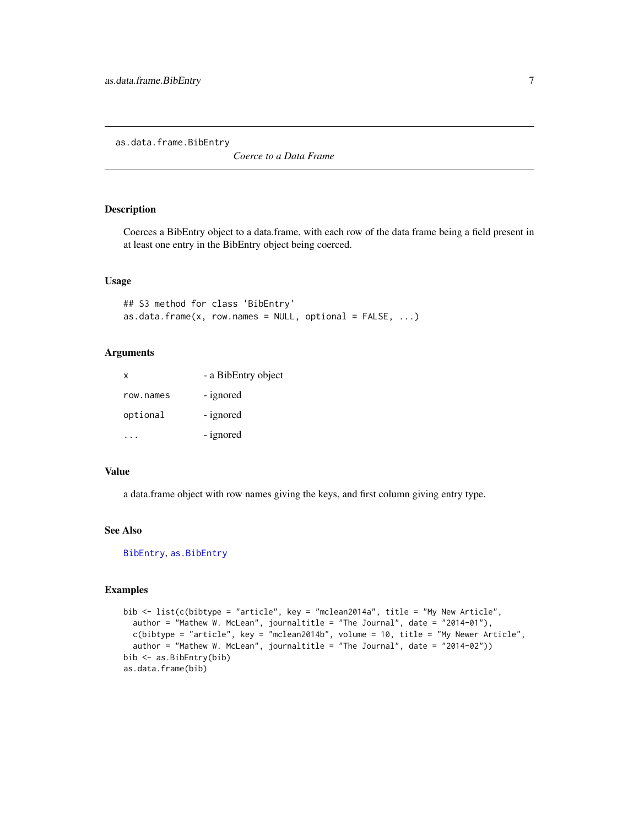<span id="page-6-0"></span>as.data.frame.BibEntry

*Coerce to a Data Frame*

## Description

Coerces a BibEntry object to a data.frame, with each row of the data frame being a field present in at least one entry in the BibEntry object being coerced.

## Usage

```
## S3 method for class 'BibEntry'
as.data.frame(x, row.names = NULL, optional = FALSE, ...)
```
## Arguments

| X         | - a BibEntry object |
|-----------|---------------------|
| row.names | - ignored           |
| optional  | - ignored           |
|           | - ignored           |

## Value

a data.frame object with row names giving the keys, and first column giving entry type.

#### See Also

[BibEntry](#page-7-1), [as.BibEntry](#page-4-1)

## Examples

```
bib <- list(c(bibtype = "article", key = "mclean2014a", title = "My New Article",
  author = "Mathew W. McLean", journaltitle = "The Journal", date = "2014-01"),
  c(bibtype = "article", key = "mclean2014b", volume = 10, title = "My Newer Article",
  author = "Mathew W. McLean", journaltitle = "The Journal", date = "2014-02"))
bib <- as.BibEntry(bib)
as.data.frame(bib)
```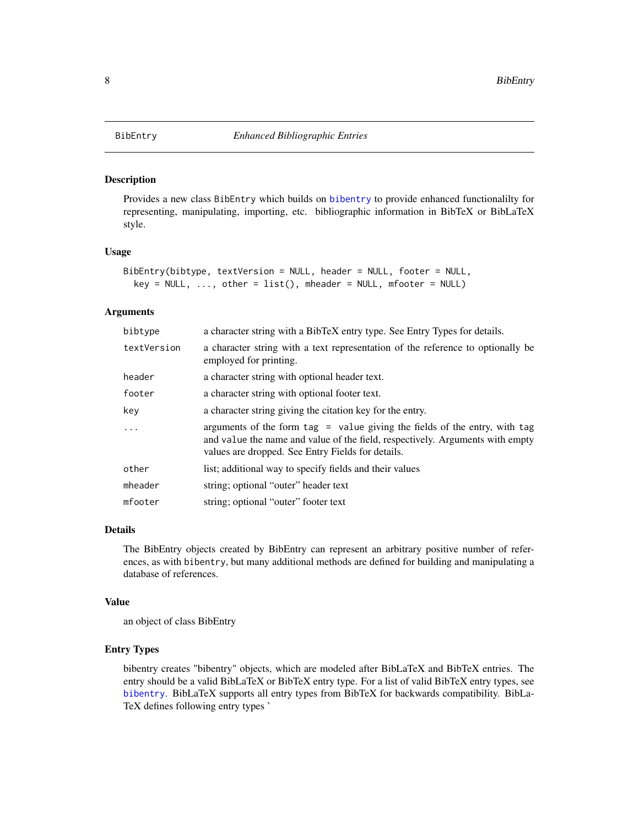<span id="page-7-1"></span><span id="page-7-0"></span>

#### Description

Provides a new class BibEntry which builds on [bibentry](#page-0-0) to provide enhanced functionalilty for representing, manipulating, importing, etc. bibliographic information in BibTeX or BibLaTeX style.

## Usage

```
BibEntry(bibtype, textVersion = NULL, header = NULL, footer = NULL,
  key = NULL, ..., other = list(), mheader = NULL, mfooter = NULL)
```
#### Arguments

| bibtype     | a character string with a BibTeX entry type. See Entry Types for details.                                                                                                                                          |
|-------------|--------------------------------------------------------------------------------------------------------------------------------------------------------------------------------------------------------------------|
| textVersion | a character string with a text representation of the reference to optionally be<br>employed for printing.                                                                                                          |
| header      | a character string with optional header text.                                                                                                                                                                      |
| footer      | a character string with optional footer text.                                                                                                                                                                      |
| key         | a character string giving the citation key for the entry.                                                                                                                                                          |
| $\ddots$    | arguments of the form $tag$ = value giving the fields of the entry, with tag<br>and value the name and value of the field, respectively. Arguments with empty<br>values are dropped. See Entry Fields for details. |
| other       | list; additional way to specify fields and their values                                                                                                                                                            |
| mheader     | string; optional "outer" header text                                                                                                                                                                               |
| mfooter     | string; optional "outer" footer text                                                                                                                                                                               |

## Details

The BibEntry objects created by BibEntry can represent an arbitrary positive number of references, as with bibentry, but many additional methods are defined for building and manipulating a database of references.

## Value

an object of class BibEntry

### Entry Types

bibentry creates "bibentry" objects, which are modeled after BibLaTeX and BibTeX entries. The entry should be a valid BibLaTeX or BibTeX entry type. For a list of valid BibTeX entry types, see [bibentry](#page-0-0). BibLaTeX supports all entry types from BibTeX for backwards compatibility. BibLa-TeX defines following entry types '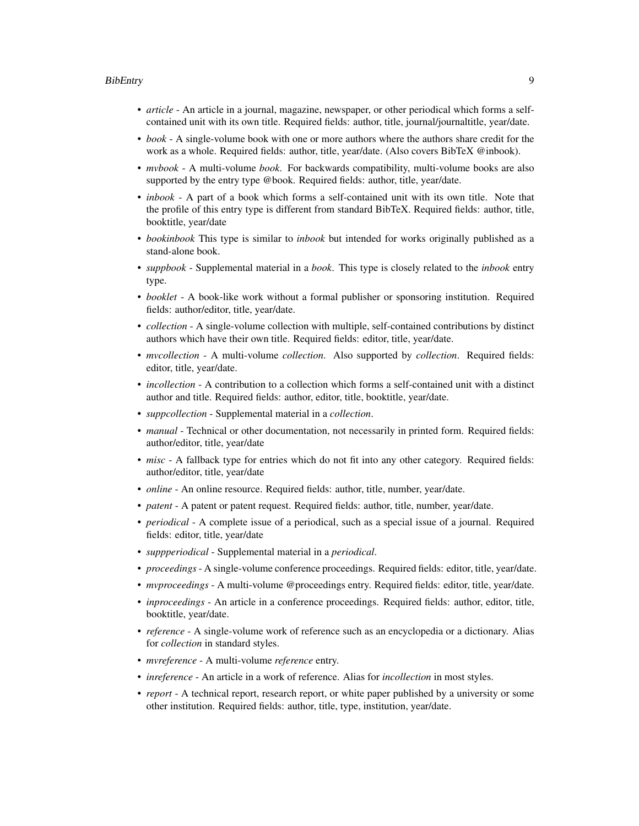#### BibEntry 9

- *article* An article in a journal, magazine, newspaper, or other periodical which forms a selfcontained unit with its own title. Required fields: author, title, journal/journaltitle, year/date.
- *book* A single-volume book with one or more authors where the authors share credit for the work as a whole. Required fields: author, title, year/date. (Also covers BibTeX @inbook).
- *mvbook* A multi-volume *book*. For backwards compatibility, multi-volume books are also supported by the entry type @book. Required fields: author, title, year/date.
- *inbook* A part of a book which forms a self-contained unit with its own title. Note that the profile of this entry type is different from standard BibTeX. Required fields: author, title, booktitle, year/date
- *bookinbook* This type is similar to *inbook* but intended for works originally published as a stand-alone book.
- *suppbook* Supplemental material in a *book*. This type is closely related to the *inbook* entry type.
- *booklet* A book-like work without a formal publisher or sponsoring institution. Required fields: author/editor, title, year/date.
- *collection* A single-volume collection with multiple, self-contained contributions by distinct authors which have their own title. Required fields: editor, title, year/date.
- *mvcollection* A multi-volume *collection*. Also supported by *collection*. Required fields: editor, title, year/date.
- *incollection* A contribution to a collection which forms a self-contained unit with a distinct author and title. Required fields: author, editor, title, booktitle, year/date.
- *suppcollection* Supplemental material in a *collection*.
- *manual* Technical or other documentation, not necessarily in printed form. Required fields: author/editor, title, year/date
- *misc* A fallback type for entries which do not fit into any other category. Required fields: author/editor, title, year/date
- *online* An online resource. Required fields: author, title, number, year/date.
- *patent* A patent or patent request. Required fields: author, title, number, year/date.
- *periodical* A complete issue of a periodical, such as a special issue of a journal. Required fields: editor, title, year/date
- *suppperiodical* Supplemental material in a *periodical*.
- *proceedings* A single-volume conference proceedings. Required fields: editor, title, year/date.
- *mvproceedings* A multi-volume @proceedings entry. Required fields: editor, title, year/date.
- *inproceedings* An article in a conference proceedings. Required fields: author, editor, title, booktitle, year/date.
- *reference* A single-volume work of reference such as an encyclopedia or a dictionary. Alias for *collection* in standard styles.
- *mvreference* A multi-volume *reference* entry.
- *inreference* An article in a work of reference. Alias for *incollection* in most styles.
- *report* A technical report, research report, or white paper published by a university or some other institution. Required fields: author, title, type, institution, year/date.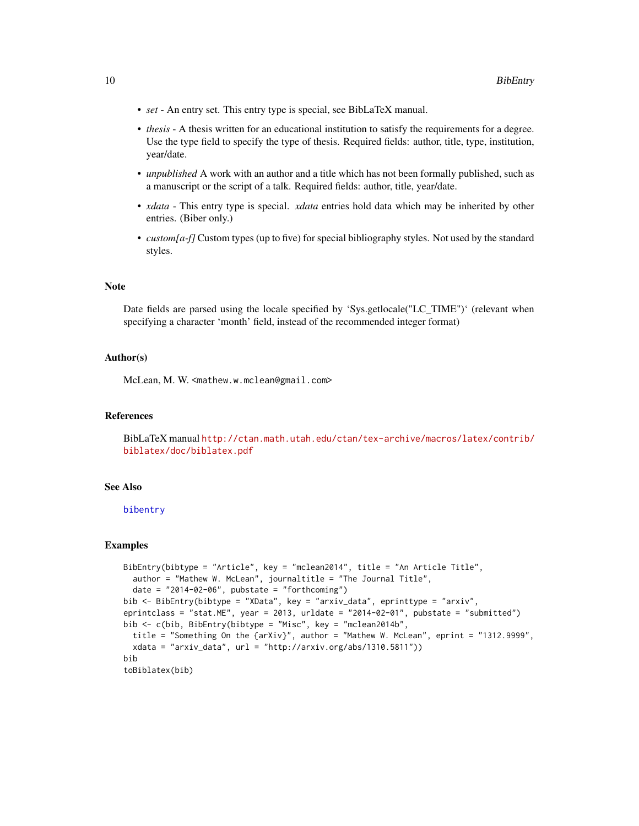- <span id="page-9-0"></span>• *set* - An entry set. This entry type is special, see BibLaTeX manual.
- *thesis* A thesis written for an educational institution to satisfy the requirements for a degree. Use the type field to specify the type of thesis. Required fields: author, title, type, institution, year/date.
- *unpublished* A work with an author and a title which has not been formally published, such as a manuscript or the script of a talk. Required fields: author, title, year/date.
- *xdata* This entry type is special. *xdata* entries hold data which may be inherited by other entries. (Biber only.)
- *custom[a-f]* Custom types (up to five) for special bibliography styles. Not used by the standard styles.

## Note

Date fields are parsed using the locale specified by 'Sys.getlocale("LC\_TIME")' (relevant when specifying a character 'month' field, instead of the recommended integer format)

#### Author(s)

McLean, M. W. <mathew.w.mclean@gmail.com>

#### References

BibLaTeX manual [http://ctan.math.utah.edu/ctan/tex-archive/macros/latex/contrib/](http://ctan.math.utah.edu/ctan/tex-archive/macros/latex/contrib/biblatex/doc/biblatex.pdf) [biblatex/doc/biblatex.pdf](http://ctan.math.utah.edu/ctan/tex-archive/macros/latex/contrib/biblatex/doc/biblatex.pdf)

#### See Also

[bibentry](#page-0-0)

### Examples

```
BibEntry(bibtype = "Article", key = "mclean2014", title = "An Article Title",
 author = "Mathew W. McLean", journaltitle = "The Journal Title",
 date = "2014-02-06", pubstate = "forthcoming")
bib <- BibEntry(bibtype = "XData", key = "arxiv_data", eprinttype = "arxiv",
eprintclass = "stat.ME", year = 2013, urldate = "2014-02-01", pubstate = "submitted")
bib <- c(bib, BibEntry(bibtype = "Misc", key = "mclean2014b",
 title = "Something On the {arXiv}", author = "Mathew W. McLean", eprint = "1312.9999",
 xdata = "arxiv_data", url = "http://arxiv.org/abs/1310.5811"))
bib
toBiblatex(bib)
```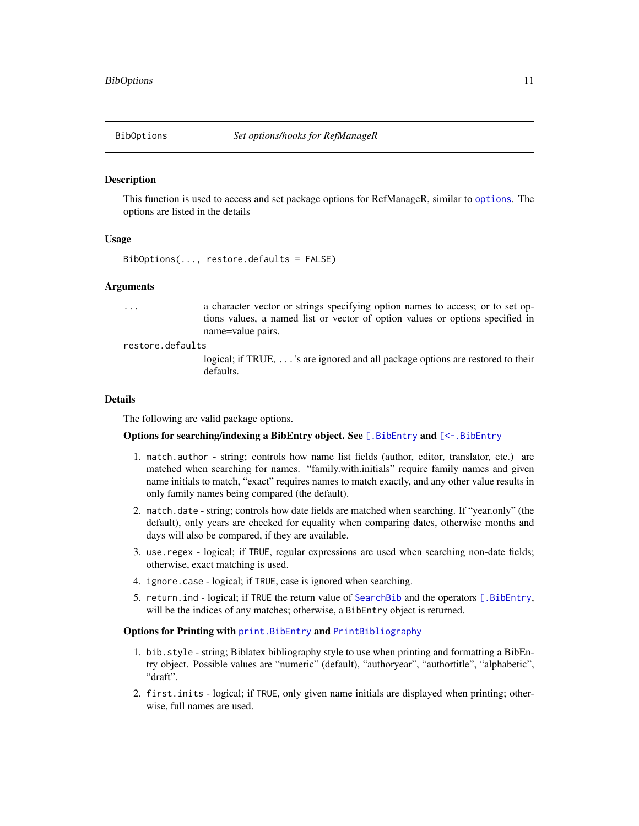<span id="page-10-1"></span><span id="page-10-0"></span>

#### Description

This function is used to access and set package options for RefManageR, similar to [options](#page-0-0). The options are listed in the details

#### Usage

BibOptions(..., restore.defaults = FALSE)

#### Arguments

... a character vector or strings specifying option names to access; or to set options values, a named list or vector of option values or options specified in name=value pairs.

restore.defaults

logical; if TRUE, ...'s are ignored and all package options are restored to their defaults.

#### Details

The following are valid package options.

## Options for searching/indexing a BibEntry object. See [. BibEntry and [<-. BibEntry

- 1. match.author string; controls how name list fields (author, editor, translator, etc.) are matched when searching for names. "family.with.initials" require family names and given name initials to match, "exact" requires names to match exactly, and any other value results in only family names being compared (the default).
- 2. match.date string; controls how date fields are matched when searching. If "year.only" (the default), only years are checked for equality when comparing dates, otherwise months and days will also be compared, if they are available.
- 3. use.regex logical; if TRUE, regular expressions are used when searching non-date fields; otherwise, exact matching is used.
- 4. ignore.case logical; if TRUE, case is ignored when searching.
- 5. return.ind logical; if TRUE the return value of [SearchBib](#page-38-2) and the operators [\[.BibEntry](#page-38-1), will be the indices of any matches; otherwise, a BibEntry object is returned.

## Options for Printing with [print.BibEntry](#page-23-1) and [PrintBibliography](#page-13-2)

- 1. bib.style string; Biblatex bibliography style to use when printing and formatting a BibEntry object. Possible values are "numeric" (default), "authoryear", "authortitle", "alphabetic", "draft".
- 2. first.inits logical; if TRUE, only given name initials are displayed when printing; otherwise, full names are used.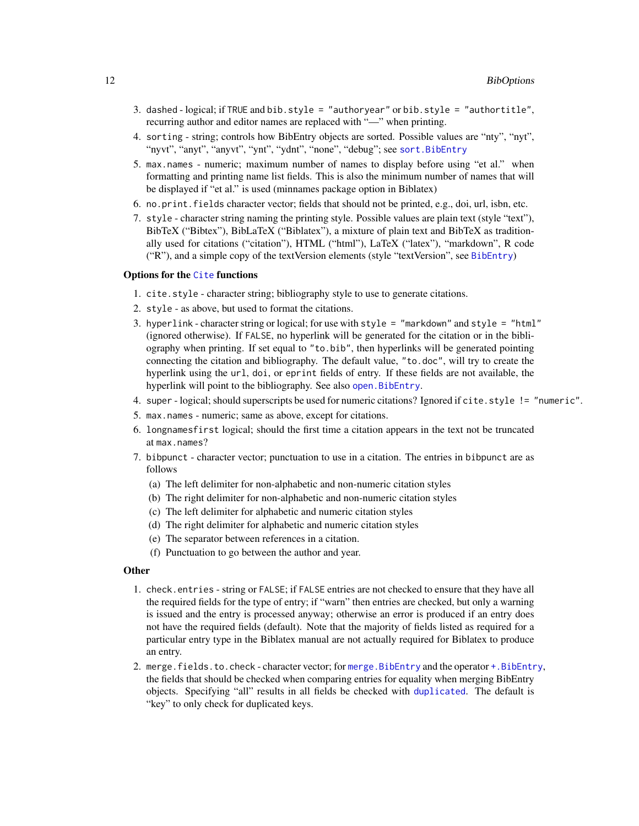- <span id="page-11-0"></span>3. dashed - logical; if TRUE and bib.style = "authoryear" or bib.style = "authortitle", recurring author and editor names are replaced with "—" when printing.
- 4. sorting string; controls how BibEntry objects are sorted. Possible values are "nty", "nyt", "nyvt", "anyt", "anyvt", "ynt", "ydnt", "none", "debug"; see [sort.BibEntry](#page-33-1)
- 5. max.names numeric; maximum number of names to display before using "et al." when formatting and printing name list fields. This is also the minimum number of names that will be displayed if "et al." is used (minnames package option in Biblatex)
- 6. no.print.fields character vector; fields that should not be printed, e.g., doi, url, isbn, etc.
- 7. style character string naming the printing style. Possible values are plain text (style "text"), BibTeX ("Bibtex"), BibLaTeX ("Biblatex"), a mixture of plain text and BibTeX as traditionally used for citations ("citation"), HTML ("html"), LaTeX ("latex"), "markdown", R code ("R"), and a simple copy of the textVersion elements (style "textVersion", see [BibEntry](#page-7-1))

#### Options for the [Cite](#page-13-1) functions

- 1. cite.style character string; bibliography style to use to generate citations.
- 2. style as above, but used to format the citations.
- 3. hyperlink character string or logical; for use with style = "markdown" and style = "html" (ignored otherwise). If FALSE, no hyperlink will be generated for the citation or in the bibliography when printing. If set equal to "to.bib", then hyperlinks will be generated pointing connecting the citation and bibliography. The default value, "to.doc", will try to create the hyperlink using the url, doi, or eprint fields of entry. If these fields are not available, the hyperlink will point to the bibliography. See also [open.BibEntry](#page-22-1).
- 4. super logical; should superscripts be used for numeric citations? Ignored if cite.style != "numeric".
- 5. max.names numeric; same as above, except for citations.
- 6. longnamesfirst logical; should the first time a citation appears in the text not be truncated at max.names?
- 7. bibpunct character vector; punctuation to use in a citation. The entries in bibpunct are as follows
	- (a) The left delimiter for non-alphabetic and non-numeric citation styles
	- (b) The right delimiter for non-alphabetic and non-numeric citation styles
	- (c) The left delimiter for alphabetic and numeric citation styles
	- (d) The right delimiter for alphabetic and numeric citation styles
	- (e) The separator between references in a citation.
	- (f) Punctuation to go between the author and year.

#### **Other**

- 1. check.entries string or FALSE; if FALSE entries are not checked to ensure that they have all the required fields for the type of entry; if "warn" then entries are checked, but only a warning is issued and the entry is processed anyway; otherwise an error is produced if an entry does not have the required fields (default). Note that the majority of fields listed as required for a particular entry type in the Biblatex manual are not actually required for Biblatex to produce an entry.
- 2. merge.fields.to.check character vector; for [merge.BibEntry](#page-3-1) and the operator [+.BibEntry](#page-3-2), the fields that should be checked when comparing entries for equality when merging BibEntry objects. Specifying "all" results in all fields be checked with [duplicated](#page-0-0). The default is "key" to only check for duplicated keys.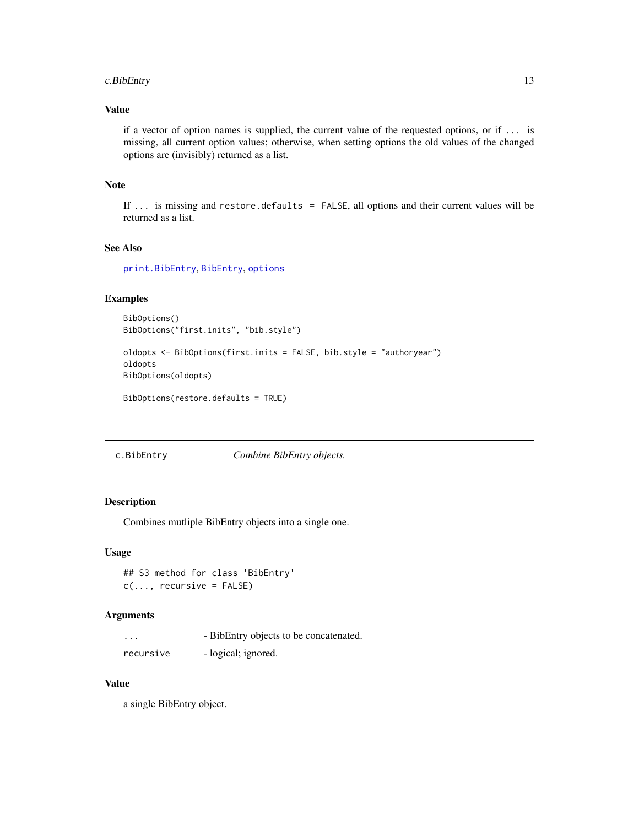## <span id="page-12-0"></span>c.BibEntry 13

## Value

if a vector of option names is supplied, the current value of the requested options, or if ... is missing, all current option values; otherwise, when setting options the old values of the changed options are (invisibly) returned as a list.

## Note

If ... is missing and restore.defaults = FALSE, all options and their current values will be returned as a list.

## See Also

[print.BibEntry](#page-23-1), [BibEntry](#page-7-1), [options](#page-0-0)

## Examples

```
BibOptions()
BibOptions("first.inits", "bib.style")
```

```
oldopts <- BibOptions(first.inits = FALSE, bib.style = "authoryear")
oldopts
BibOptions(oldopts)
```
BibOptions(restore.defaults = TRUE)

<span id="page-12-1"></span>c.BibEntry *Combine BibEntry objects.*

## Description

Combines mutliple BibEntry objects into a single one.

#### Usage

```
## S3 method for class 'BibEntry'
c(\ldots, recursive = FALSE)
```
## Arguments

| .         | - BibEntry objects to be concatenated. |
|-----------|----------------------------------------|
| recursive | - logical; ignored.                    |

## Value

a single BibEntry object.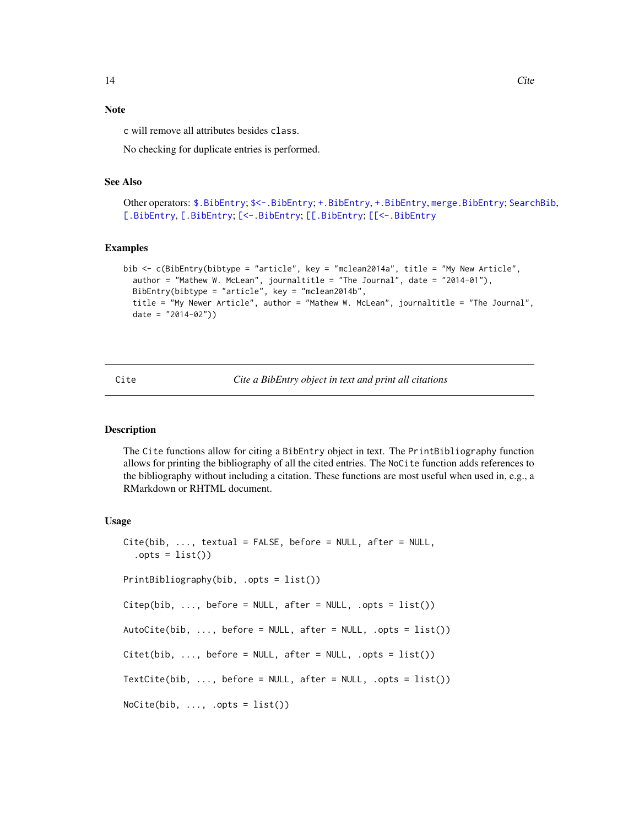## <span id="page-13-0"></span>Note

c will remove all attributes besides class.

No checking for duplicate entries is performed.

## See Also

```
Other operators: $.BibEntry; $<-.BibEntry; +.BibEntry, +.BibEntry, merge.BibEntry; SearchBib,
[.BibEntry, [.BibEntry; [<-.BibEntry; [[.BibEntry; [[<-.BibEntry
```
#### Examples

```
bib <- c(BibEntry(bibtype = "article", key = "mclean2014a", title = "My New Article",
 author = "Mathew W. McLean", journaltitle = "The Journal", date = "2014-01"),
 BibEntry(bibtype = "article", key = "mclean2014b",
 title = "My Newer Article", author = "Mathew W. McLean", journaltitle = "The Journal",
 date = "2014-02"))
```
<span id="page-13-1"></span>Cite *Cite a BibEntry object in text and print all citations*

## <span id="page-13-2"></span>**Description**

The Cite functions allow for citing a BibEntry object in text. The PrintBibliography function allows for printing the bibliography of all the cited entries. The NoCite function adds references to the bibliography without including a citation. These functions are most useful when used in, e.g., a RMarkdown or RHTML document.

#### Usage

```
Cite(bib, ..., textual = FALSE, before = NULL, after = NULL,.opts = list()PrintBibliography(bib, .opts = list())
Citep(bib, ..., before = NULL, after = NULL, .opts = list())AutoCite(bib, \ldots, before = NULL, after = NULL, .opts = list())
Citet(bib, ..., before = NULL, after = NULL, .opts = list())TextCite(bib, \ldots, before = NULL, after = NULL, .opts = list())
NoCite(bib, ..., opts = list())
```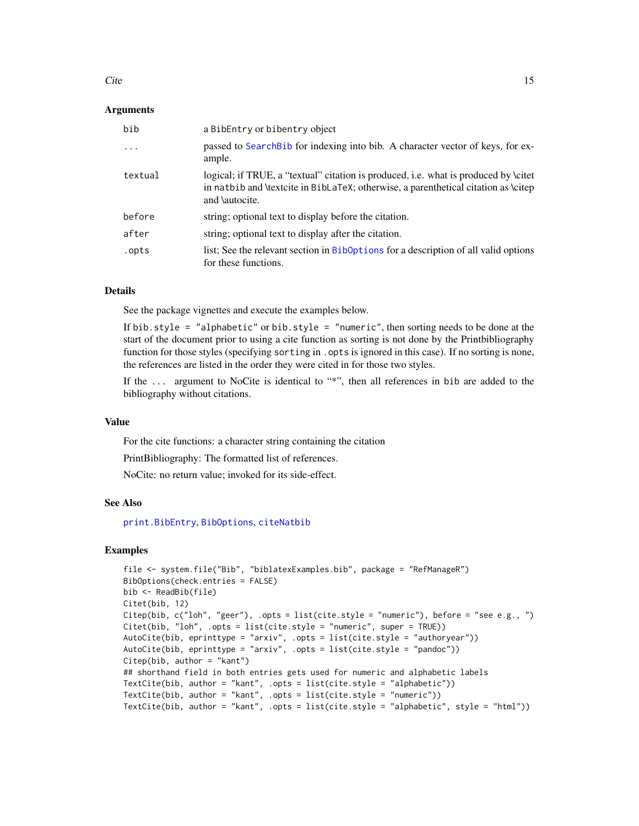#### <span id="page-14-0"></span>Cite 25 and 25 and 25 and 26 and 26 and 26 and 26 and 26 and 26 and 26 and 26 and 26 and 26 and 26 and 26 and 26 and 26 and 26 and 26 and 26 and 26 and 26 and 26 and 26 and 26 and 26 and 26 and 26 and 26 and 26 and 26 and

## **Arguments**

| bib      | a BibEntry or bibentry object                                                                                                                                                                       |
|----------|-----------------------------------------------------------------------------------------------------------------------------------------------------------------------------------------------------|
| $\ddots$ | passed to Search Bib for indexing into bib. A character vector of keys, for ex-<br>ample.                                                                                                           |
| textual  | logical; if TRUE, a "textual" citation is produced, i.e. what is produced by \citet<br>in natbib and \textcite in BibLaTeX; otherwise, a parenthetical citation as \citep<br>and <i>\autocite</i> . |
| before   | string; optional text to display before the citation.                                                                                                                                               |
| after    | string; optional text to display after the citation.                                                                                                                                                |
| .opts    | list; See the relevant section in Biboptions for a description of all valid options<br>for these functions.                                                                                         |

#### Details

See the package vignettes and execute the examples below.

If bib.style = "alphabetic" or bib.style = "numeric", then sorting needs to be done at the start of the document prior to using a cite function as sorting is not done by the Printbibliography function for those styles (specifying sorting in .opts is ignored in this case). If no sorting is none, the references are listed in the order they were cited in for those two styles.

If the ... argument to NoCite is identical to "\*", then all references in bib are added to the bibliography without citations.

#### Value

For the cite functions: a character string containing the citation

PrintBibliography: The formatted list of references.

NoCite: no return value; invoked for its side-effect.

## See Also

[print.BibEntry](#page-23-1), [BibOptions](#page-10-1), [citeNatbib](#page-0-0)

## Examples

```
file <- system.file("Bib", "biblatexExamples.bib", package = "RefManageR")
BibOptions(check.entries = FALSE)
bib <- ReadBib(file)
Citet(bib, 12)
Citep(bib, c("loh", "geer"), .opts = list(cite.style = "numeric"), before = "see e.g., ")
Citet(bib, "loh", .opts = list(cite.style = "numeric", super = TRUE))
AutoCite(bib, eprinttype = "arxiv", .opts = list(cite.style = "authoryear"))
AutoCite(bib, eprinttype = "arxiv", .opts = list(cite.style = "pandoc"))
Citep(bib, author = "kant")
## shorthand field in both entries gets used for numeric and alphabetic labels
TextCite(bib, author = "kant", .opts = list(cite.style = "alphabetic"))
TextCite(bib, author = "kant", .opts = list(cite.style = "numeric"))
TextCite(bib, author = "kant", .opts = list(cite.style = "alphabetic", style = "html"))
```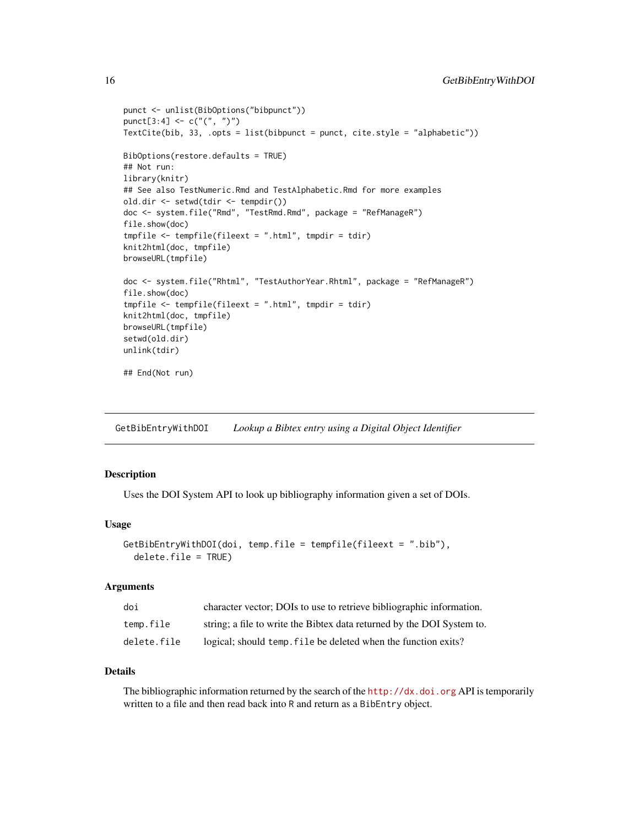```
punct <- unlist(BibOptions("bibpunct"))
punct[3:4] <- c("(", ")")
TextCite(bib, 33, .opts = list(bibpunct = punct, cite.style = "alphabetic"))
BibOptions(restore.defaults = TRUE)
## Not run:
library(knitr)
## See also TestNumeric.Rmd and TestAlphabetic.Rmd for more examples
old.dir <- setwd(tdir <- tempdir())
doc <- system.file("Rmd", "TestRmd.Rmd", package = "RefManageR")
file.show(doc)
tmpfile <- tempfile(fileext = ".html", tmpdir = tdir)
knit2html(doc, tmpfile)
browseURL(tmpfile)
doc <- system.file("Rhtml", "TestAuthorYear.Rhtml", package = "RefManageR")
file.show(doc)
tmpfile <- tempfile(fileext = ".html", tmpdir = tdir)
knit2html(doc, tmpfile)
browseURL(tmpfile)
setwd(old.dir)
unlink(tdir)
## End(Not run)
```
GetBibEntryWithDOI *Lookup a Bibtex entry using a Digital Object Identifier*

## Description

Uses the DOI System API to look up bibliography information given a set of DOIs.

#### Usage

```
GetBibEntryWithDOI(doi, temp.file = tempfile(fileext = ".bib"),
  delete.file = TRUE)
```
## Arguments

| doi         | character vector; DOIs to use to retrieve bibliographic information.   |
|-------------|------------------------------------------------------------------------|
| temp.file   | string; a file to write the Bibtex data returned by the DOI System to. |
| delete.file | logical; should temp, file be deleted when the function exits?         |

## Details

The bibliographic information returned by the search of the <http://dx.doi.org> API is temporarily written to a file and then read back into R and return as a BibEntry object.

<span id="page-15-0"></span>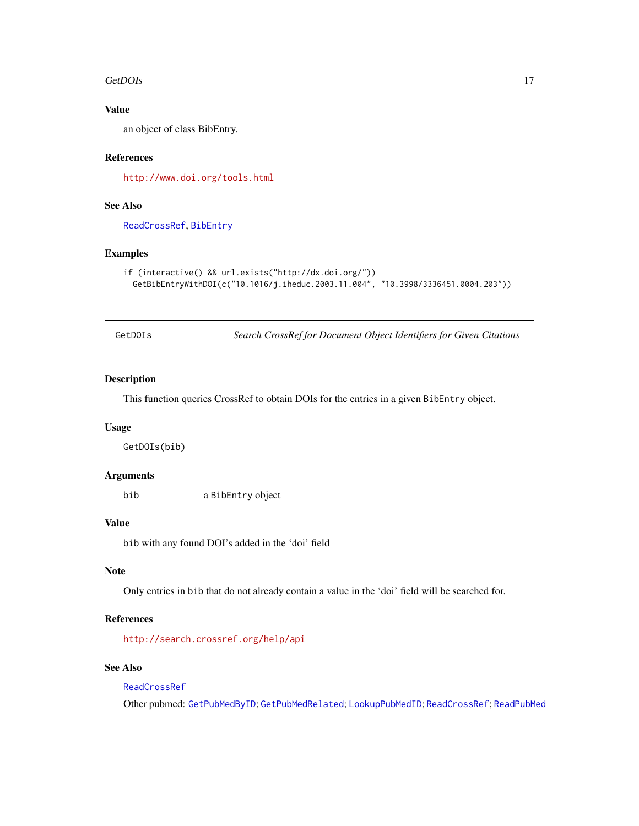#### <span id="page-16-0"></span>GetDOIs and the contract of the contract of the contract of the contract of the contract of the contract of the contract of the contract of the contract of the contract of the contract of the contract of the contract of th

## Value

an object of class BibEntry.

## References

<http://www.doi.org/tools.html>

## See Also

[ReadCrossRef](#page-25-1), [BibEntry](#page-7-1)

## Examples

```
if (interactive() && url.exists("http://dx.doi.org/"))
 GetBibEntryWithDOI(c("10.1016/j.iheduc.2003.11.004", "10.3998/3336451.0004.203"))
```
<span id="page-16-1"></span>

| GetDOIs |  |  |
|---------|--|--|
|         |  |  |

**Search CrossRef for Document Object Identifiers for Given Citations** 

## Description

This function queries CrossRef to obtain DOIs for the entries in a given BibEntry object.

## Usage

GetDOIs(bib)

## Arguments

bib a BibEntry object

## Value

bib with any found DOI's added in the 'doi' field

## Note

Only entries in bib that do not already contain a value in the 'doi' field will be searched for.

## References

<http://search.crossref.org/help/api>

## See Also

## [ReadCrossRef](#page-25-1)

Other pubmed: [GetPubMedByID](#page-17-1); [GetPubMedRelated](#page-18-1); [LookupPubMedID](#page-20-1); [ReadCrossRef](#page-25-1); [ReadPubMed](#page-29-1)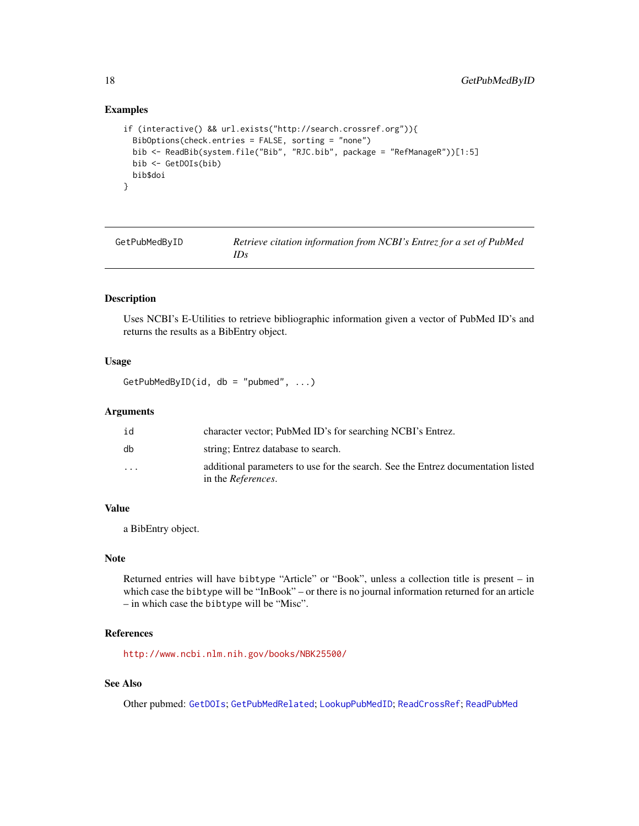## Examples

```
if (interactive() && url.exists("http://search.crossref.org")){
 BibOptions(check.entries = FALSE, sorting = "none")
 bib <- ReadBib(system.file("Bib", "RJC.bib", package = "RefManageR"))[1:5]
 bib <- GetDOIs(bib)
 bib$doi
}
```
<span id="page-17-1"></span>

| GetPubMedByID | Retrieve citation information from NCBI's Entrez for a set of PubMed |
|---------------|----------------------------------------------------------------------|
|               | IDs                                                                  |

## Description

Uses NCBI's E-Utilities to retrieve bibliographic information given a vector of PubMed ID's and returns the results as a BibEntry object.

## Usage

```
GetPubMedByID(id, db = "pubmed", \ldots)
```
#### Arguments

| id                      | character vector; PubMed ID's for searching NCBI's Entrez.                                                     |
|-------------------------|----------------------------------------------------------------------------------------------------------------|
| db                      | string; Entrez database to search.                                                                             |
| $\cdot$ $\cdot$ $\cdot$ | additional parameters to use for the search. See the Entrez documentation listed<br>in the <i>References</i> . |

## Value

a BibEntry object.

## Note

Returned entries will have bibtype "Article" or "Book", unless a collection title is present – in which case the bibtype will be "InBook" – or there is no journal information returned for an article – in which case the bibtype will be "Misc".

#### References

<http://www.ncbi.nlm.nih.gov/books/NBK25500/>

## See Also

Other pubmed: [GetDOIs](#page-16-1); [GetPubMedRelated](#page-18-1); [LookupPubMedID](#page-20-1); [ReadCrossRef](#page-25-1); [ReadPubMed](#page-29-1)

<span id="page-17-0"></span>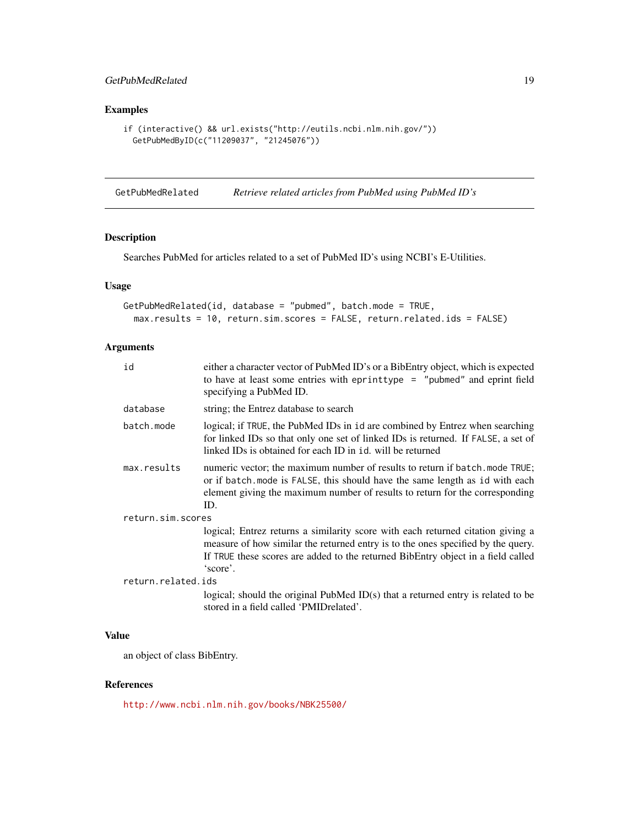## <span id="page-18-0"></span>GetPubMedRelated 19

## Examples

```
if (interactive() && url.exists("http://eutils.ncbi.nlm.nih.gov/"))
 GetPubMedByID(c("11209037", "21245076"))
```
<span id="page-18-1"></span>GetPubMedRelated *Retrieve related articles from PubMed using PubMed ID's*

## Description

Searches PubMed for articles related to a set of PubMed ID's using NCBI's E-Utilities.

## Usage

```
GetPubMedRelated(id, database = "pubmed", batch.mode = TRUE,
 max.results = 10, return.sim.scores = FALSE, return.related.ids = FALSE)
```
## Arguments

| id                 | either a character vector of PubMed ID's or a BibEntry object, which is expected<br>to have at least some entries with eprinttype = "pubmed" and eprint field<br>specifying a PubMed ID.                                                                            |
|--------------------|---------------------------------------------------------------------------------------------------------------------------------------------------------------------------------------------------------------------------------------------------------------------|
| database           | string; the Entrez database to search                                                                                                                                                                                                                               |
| batch.mode         | logical; if TRUE, the PubMed IDs in id are combined by Entrez when searching<br>for linked IDs so that only one set of linked IDs is returned. If FALSE, a set of<br>linked IDs is obtained for each ID in id. will be returned                                     |
| max.results        | numeric vector; the maximum number of results to return if batch. mode TRUE;<br>or if batch. mode is FALSE, this should have the same length as id with each<br>element giving the maximum number of results to return for the corresponding<br>ID.                 |
| return.sim.scores  |                                                                                                                                                                                                                                                                     |
|                    | logical; Entrez returns a similarity score with each returned citation giving a<br>measure of how similar the returned entry is to the ones specified by the query.<br>If TRUE these scores are added to the returned BibEntry object in a field called<br>'score'. |
| return.related.ids |                                                                                                                                                                                                                                                                     |
|                    | logical; should the original PubMed ID(s) that a returned entry is related to be<br>stored in a field called 'PMIDrelated'.                                                                                                                                         |

## Value

an object of class BibEntry.

## References

<http://www.ncbi.nlm.nih.gov/books/NBK25500/>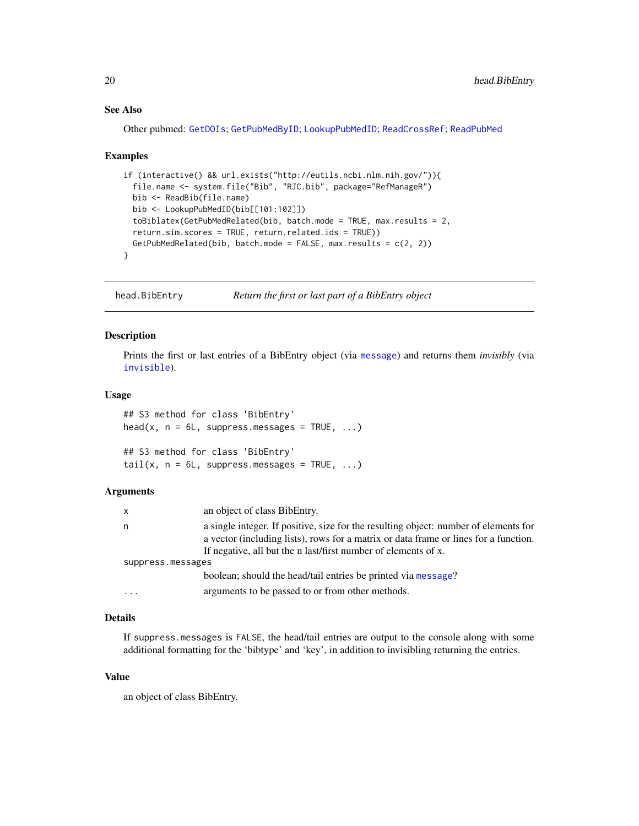## See Also

Other pubmed: [GetDOIs](#page-16-1); [GetPubMedByID](#page-17-1); [LookupPubMedID](#page-20-1); [ReadCrossRef](#page-25-1); [ReadPubMed](#page-29-1)

#### Examples

```
if (interactive() && url.exists("http://eutils.ncbi.nlm.nih.gov/")){
 file.name <- system.file("Bib", "RJC.bib", package="RefManageR")
 bib <- ReadBib(file.name)
 bib <- LookupPubMedID(bib[[101:102]])
 toBiblatex(GetPubMedRelated(bib, batch.mode = TRUE, max.results = 2,
 return.sim.scores = TRUE, return.related.ids = TRUE))
 GetPubMedRelated(bib, batch.mode = FALSE, max.results = c(2, 2))
}
```
head.BibEntry *Return the first or last part of a BibEntry object*

## Description

Prints the first or last entries of a BibEntry object (via [message](#page-0-0)) and returns them *invisibly* (via [invisible](#page-0-0)).

## Usage

```
## S3 method for class 'BibEntry'
head(x, n = 6L, suppress.messages = TRUE, ...)
## S3 method for class 'BibEntry'
tail(x, n = 6L, suppress. messages = TRUE, ...)
```
#### **Arguments**

| X                 | an object of class BibEntry.                                                         |
|-------------------|--------------------------------------------------------------------------------------|
| n                 | a single integer. If positive, size for the resulting object: number of elements for |
|                   | a vector (including lists), rows for a matrix or data frame or lines for a function. |
|                   | If negative, all but the n last/first number of elements of x.                       |
| suppress.messages |                                                                                      |
|                   | boolean; should the head/tail entries be printed via message?                        |
| $\cdots$          | arguments to be passed to or from other methods.                                     |

## Details

If suppress.messages is FALSE, the head/tail entries are output to the console along with some additional formatting for the 'bibtype' and 'key', in addition to invisibling returning the entries.

#### Value

an object of class BibEntry.

<span id="page-19-0"></span>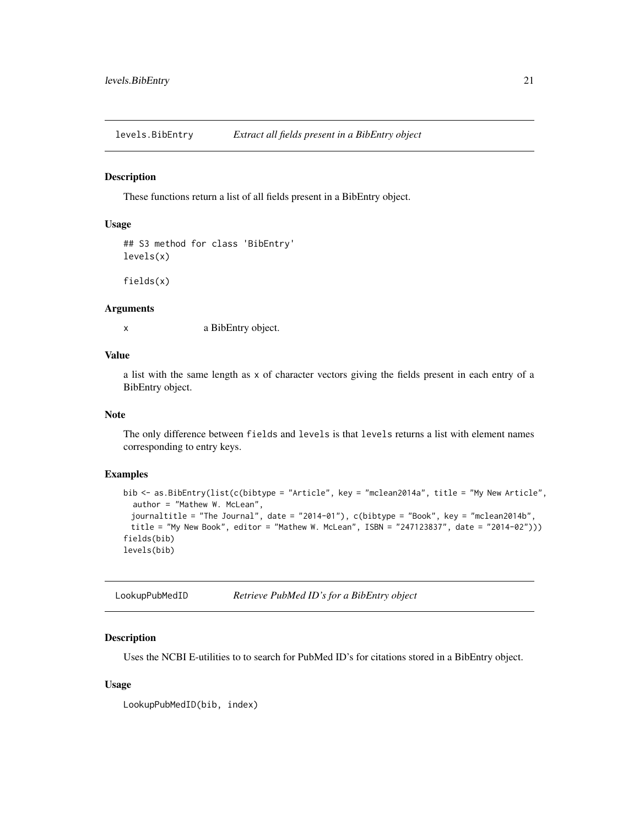<span id="page-20-0"></span>levels.BibEntry *Extract all fields present in a BibEntry object*

## Description

These functions return a list of all fields present in a BibEntry object.

## Usage

```
## S3 method for class 'BibEntry'
levels(x)
```
fields(x)

## Arguments

x a BibEntry object.

## Value

a list with the same length as x of character vectors giving the fields present in each entry of a BibEntry object.

## Note

The only difference between fields and levels is that levels returns a list with element names corresponding to entry keys.

## Examples

```
bib <- as.BibEntry(list(c(bibtype = "Article", key = "mclean2014a", title = "My New Article",
 author = "Mathew W. McLean",
 journaltitle = "The Journal", date = "2014-01"), c(bibtype = "Book", key = "mclean2014b",
 title = "My New Book", editor = "Mathew W. McLean", ISBN = "247123837", date = "2014-02")))
fields(bib)
levels(bib)
```
<span id="page-20-1"></span>LookupPubMedID *Retrieve PubMed ID's for a BibEntry object*

## Description

Uses the NCBI E-utilities to to search for PubMed ID's for citations stored in a BibEntry object.

#### Usage

LookupPubMedID(bib, index)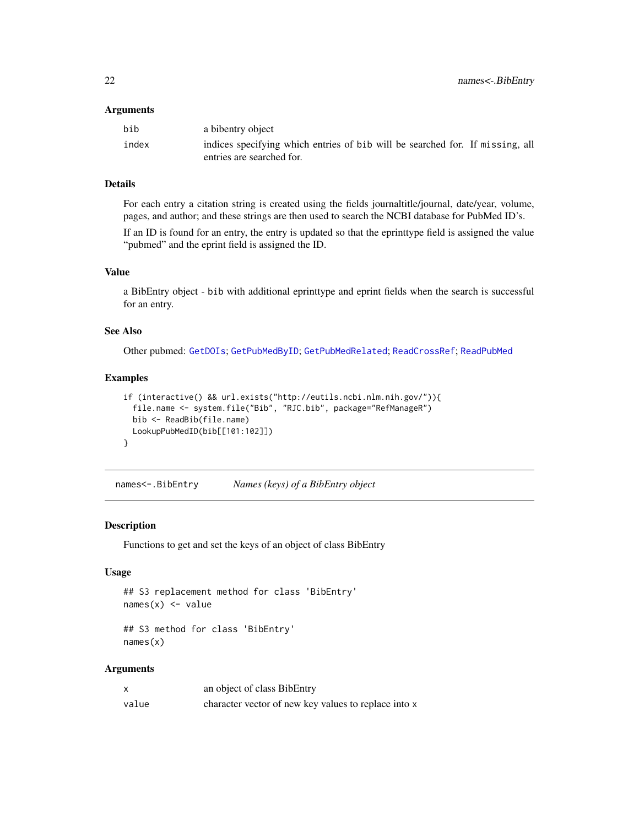#### <span id="page-21-0"></span>**Arguments**

| bib   | a bibentry object                                                             |
|-------|-------------------------------------------------------------------------------|
| index | indices specifying which entries of bib will be searched for. If missing, all |
|       | entries are searched for.                                                     |

## Details

For each entry a citation string is created using the fields journaltitle/journal, date/year, volume, pages, and author; and these strings are then used to search the NCBI database for PubMed ID's.

If an ID is found for an entry, the entry is updated so that the eprinttype field is assigned the value "pubmed" and the eprint field is assigned the ID.

## Value

a BibEntry object - bib with additional eprinttype and eprint fields when the search is successful for an entry.

#### See Also

Other pubmed: [GetDOIs](#page-16-1); [GetPubMedByID](#page-17-1); [GetPubMedRelated](#page-18-1); [ReadCrossRef](#page-25-1); [ReadPubMed](#page-29-1)

## Examples

```
if (interactive() && url.exists("http://eutils.ncbi.nlm.nih.gov/")){
 file.name <- system.file("Bib", "RJC.bib", package="RefManageR")
 bib <- ReadBib(file.name)
 LookupPubMedID(bib[[101:102]])
}
```
names<-.BibEntry *Names (keys) of a BibEntry object*

#### Description

Functions to get and set the keys of an object of class BibEntry

## Usage

```
## S3 replacement method for class 'BibEntry'
names(x) <- value
```

```
## S3 method for class 'BibEntry'
names(x)
```

|       | an object of class BibEntry                          |
|-------|------------------------------------------------------|
| value | character vector of new key values to replace into x |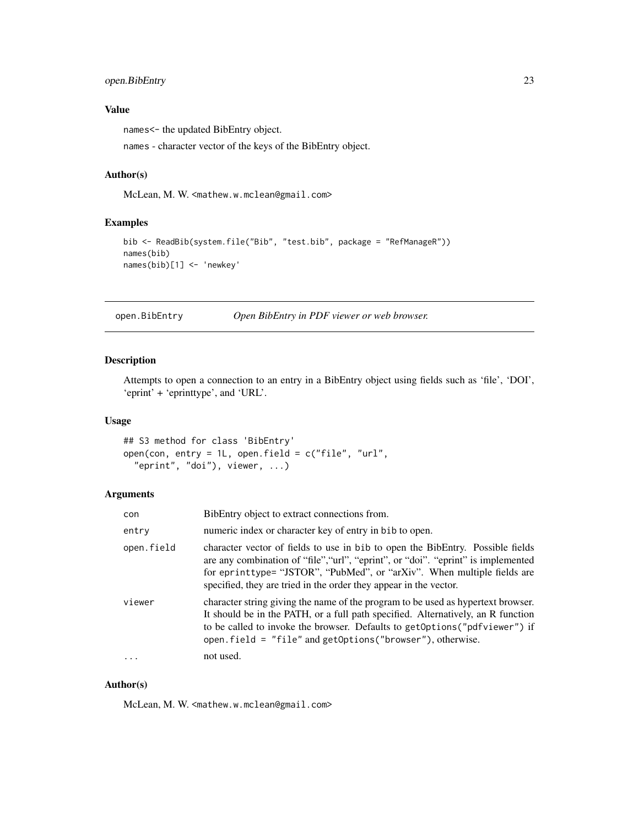## <span id="page-22-0"></span>open.BibEntry 23

## Value

names<- the updated BibEntry object.

names - character vector of the keys of the BibEntry object.

## Author(s)

McLean, M. W. <mathew.w.mclean@gmail.com>

## Examples

```
bib <- ReadBib(system.file("Bib", "test.bib", package = "RefManageR"))
names(bib)
names(bib)[1] <- 'newkey'
```
<span id="page-22-1"></span>open.BibEntry *Open BibEntry in PDF viewer or web browser.*

## Description

Attempts to open a connection to an entry in a BibEntry object using fields such as 'file', 'DOI', 'eprint' + 'eprinttype', and 'URL'.

#### Usage

```
## S3 method for class 'BibEntry'
open(con, entry = 1L, open.field = c("file", "url",
  "eprint", "doi"), viewer, ...)
```
## Arguments

| con        | BibEntry object to extract connections from.                                                                                                                                                                                                                                                                        |
|------------|---------------------------------------------------------------------------------------------------------------------------------------------------------------------------------------------------------------------------------------------------------------------------------------------------------------------|
| entry      | numeric index or character key of entry in bib to open.                                                                                                                                                                                                                                                             |
| open.field | character vector of fields to use in bib to open the BibEntry. Possible fields<br>are any combination of "file", "url", "eprint", or "doi". "eprint" is implemented<br>for eprinttype= "JSTOR", "PubMed", or "arXiv". When multiple fields are<br>specified, they are tried in the order they appear in the vector. |
| viewer     | character string giving the name of the program to be used as hypertext browser.<br>It should be in the PATH, or a full path specified. Alternatively, an R function<br>to be called to invoke the browser. Defaults to get Options ("pdfviewer") if<br>open.field = $"file"$ and getOptions("browser"), otherwise. |
|            | not used.                                                                                                                                                                                                                                                                                                           |

## Author(s)

McLean, M. W. <mathew.w.mclean@gmail.com>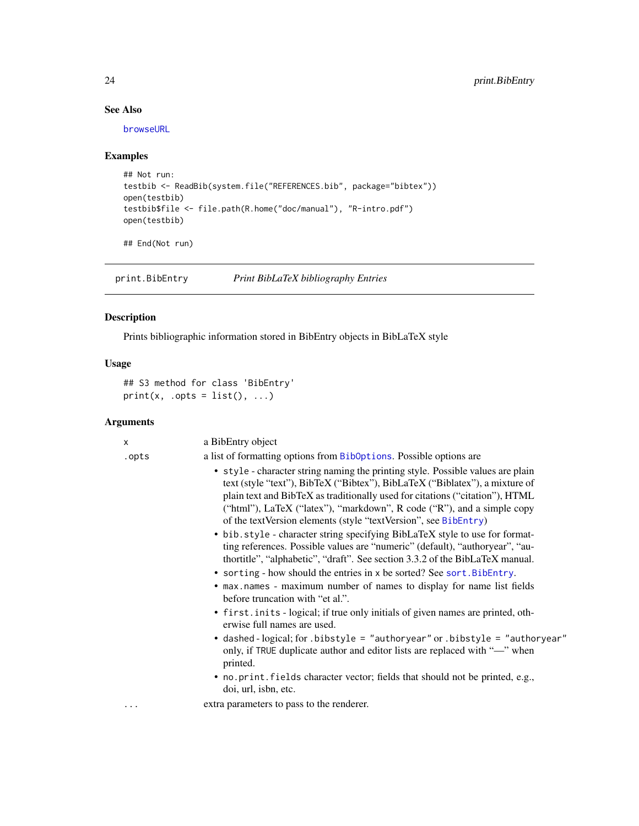## See Also

[browseURL](#page-0-0)

## Examples

```
## Not run:
testbib <- ReadBib(system.file("REFERENCES.bib", package="bibtex"))
open(testbib)
testbib$file <- file.path(R.home("doc/manual"), "R-intro.pdf")
open(testbib)
```
## End(Not run)

<span id="page-23-1"></span>print.BibEntry *Print BibLaTeX bibliography Entries*

## Description

Prints bibliographic information stored in BibEntry objects in BibLaTeX style

## Usage

```
## S3 method for class 'BibEntry'
print(x, .opts = list(), . . .)
```

| X     | a BibEntry object                                                                                                                                                                                                                                                                                                                                                                           |
|-------|---------------------------------------------------------------------------------------------------------------------------------------------------------------------------------------------------------------------------------------------------------------------------------------------------------------------------------------------------------------------------------------------|
| .opts | a list of formatting options from BibOptions. Possible options are                                                                                                                                                                                                                                                                                                                          |
|       | • style - character string naming the printing style. Possible values are plain<br>text (style "text"), BibTeX ("Bibtex"), BibLaTeX ("Biblatex"), a mixture of<br>plain text and BibTeX as traditionally used for citations ("citation"), HTML<br>("html"), LaTeX ("latex"), "markdown", R code ("R"), and a simple copy<br>of the textVersion elements (style "textVersion", see BibEntry) |
|       | • bib.style - character string specifying BibLaTeX style to use for format-<br>ting references. Possible values are "numeric" (default), "authoryear", "au-<br>thortitle", "alphabetic", "draft". See section 3.3.2 of the BibLaTeX manual.<br>• sorting - how should the entries in x be sorted? See sort. BibEntry.                                                                       |
|       | • max.names - maximum number of names to display for name list fields<br>before truncation with "et al.".                                                                                                                                                                                                                                                                                   |
|       | • first. in its - logical; if true only initials of given names are printed, oth-<br>erwise full names are used.                                                                                                                                                                                                                                                                            |
|       | • dashed-logical; for . bibstyle = "authoryear" or . bibstyle = "authoryear"<br>only, if TRUE duplicate author and editor lists are replaced with "-" when<br>printed.                                                                                                                                                                                                                      |
|       | • no. print. fields character vector; fields that should not be printed, e.g.,<br>doi, url, isbn, etc.                                                                                                                                                                                                                                                                                      |
| .     | extra parameters to pass to the renderer.                                                                                                                                                                                                                                                                                                                                                   |
|       |                                                                                                                                                                                                                                                                                                                                                                                             |

<span id="page-23-0"></span>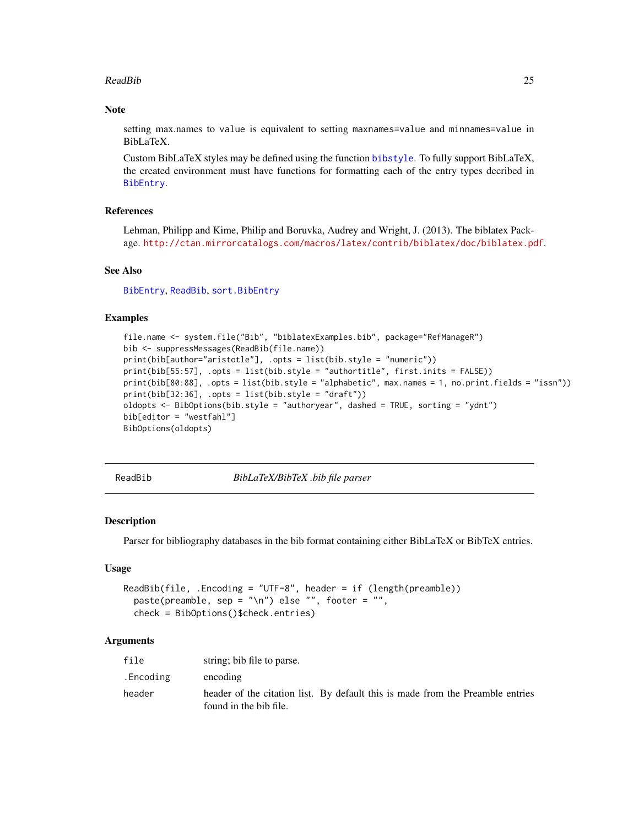## <span id="page-24-0"></span>ReadBib 25

## **Note**

setting max.names to value is equivalent to setting maxnames=value and minnames=value in BibLaTeX.

Custom BibLaTeX styles may be defined using the function [bibstyle](#page-0-0). To fully support BibLaTeX, the created environment must have functions for formatting each of the entry types decribed in [BibEntry](#page-7-1).

## References

Lehman, Philipp and Kime, Philip and Boruvka, Audrey and Wright, J. (2013). The biblatex Package. <http://ctan.mirrorcatalogs.com/macros/latex/contrib/biblatex/doc/biblatex.pdf>.

## See Also

[BibEntry](#page-7-1), [ReadBib](#page-24-1), [sort.BibEntry](#page-33-1)

## Examples

```
file.name <- system.file("Bib", "biblatexExamples.bib", package="RefManageR")
bib <- suppressMessages(ReadBib(file.name))
print(bib[author="aristotle"], .opts = list(bib.style = "numeric"))
print(bib[55:57], .opts = list(bib.style = "authortitle", first.inits = FALSE))
print(bib[80:88], .opts = list(bib.style = "alphabetic", max.names = 1, no.print.fields = "issn"))
print(bib[32:36], .opts = list(bib.style = "draft"))
oldopts <- BibOptions(bib.style = "authoryear", dashed = TRUE, sorting = "ydnt")
bib[editor = "westfahl"]
BibOptions(oldopts)
```
<span id="page-24-1"></span>ReadBib *BibLaTeX/BibTeX .bib file parser*

#### Description

Parser for bibliography databases in the bib format containing either BibLaTeX or BibTeX entries.

## Usage

```
ReadBib(file, .Encoding = "UTF-8", header = if (length(preamble))
 paste(preamble, sep = "\n") else "", footer = "",
  check = BibOptions()$check.entries)
```

| file      | string; bib file to parse.                                                                               |
|-----------|----------------------------------------------------------------------------------------------------------|
| .Encoding | encoding                                                                                                 |
| header    | header of the citation list. By default this is made from the Preamble entries<br>found in the bib file. |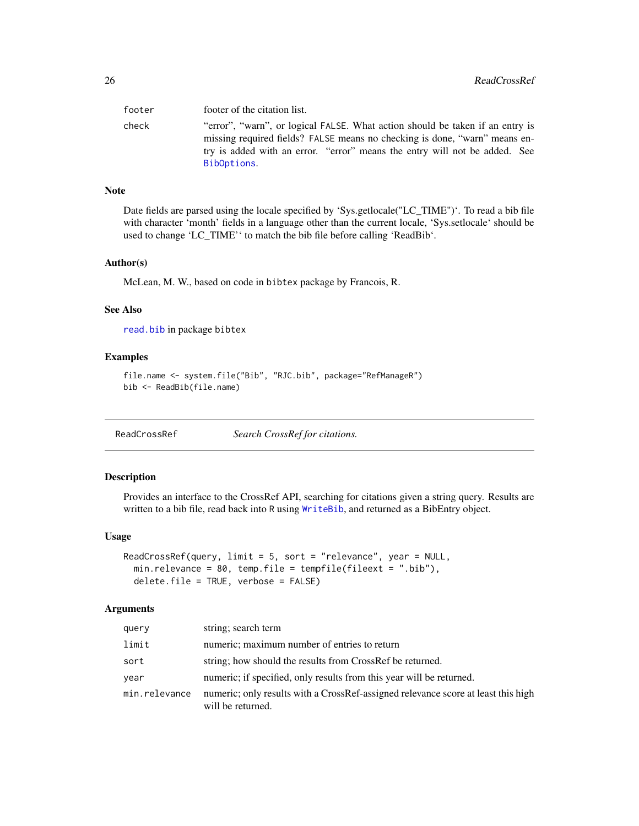<span id="page-25-0"></span>

| footer | footer of the citation list.                                                                                                                                                                                                                             |
|--------|----------------------------------------------------------------------------------------------------------------------------------------------------------------------------------------------------------------------------------------------------------|
| check  | "error", "warn", or logical FALSE. What action should be taken if an entry is<br>missing required fields? FALSE means no checking is done, "warn" means en-<br>try is added with an error. "error" means the entry will not be added. See<br>BibOptions. |
|        |                                                                                                                                                                                                                                                          |

## Note

Date fields are parsed using the locale specified by 'Sys.getlocale("LC\_TIME")'. To read a bib file with character 'month' fields in a language other than the current locale, 'Sys.setlocale' should be used to change 'LC\_TIME'' to match the bib file before calling 'ReadBib'.

#### Author(s)

McLean, M. W., based on code in bibtex package by Francois, R.

#### See Also

[read.bib](#page-0-0) in package bibtex

#### Examples

```
file.name <- system.file("Bib", "RJC.bib", package="RefManageR")
bib <- ReadBib(file.name)
```
<span id="page-25-1"></span>ReadCrossRef *Search CrossRef for citations.*

## Description

Provides an interface to the CrossRef API, searching for citations given a string query. Results are written to a bib file, read back into R using [WriteBib](#page-37-1), and returned as a BibEntry object.

#### Usage

```
ReadCrossRef(query, limit = 5, sort = "relevance", year = NULL,
 min.relevance = 80, temp.file = tempfile(fileext = ".bib"),
 delete.file = TRUE, verbose = FALSE)
```

| query         | string; search term                                                                                    |
|---------------|--------------------------------------------------------------------------------------------------------|
| limit         | numeric; maximum number of entries to return                                                           |
| sort          | string; how should the results from CrossRef be returned.                                              |
| year          | numeric; if specified, only results from this year will be returned.                                   |
| min.relevance | numeric; only results with a CrossRef-assigned relevance score at least this high<br>will be returned. |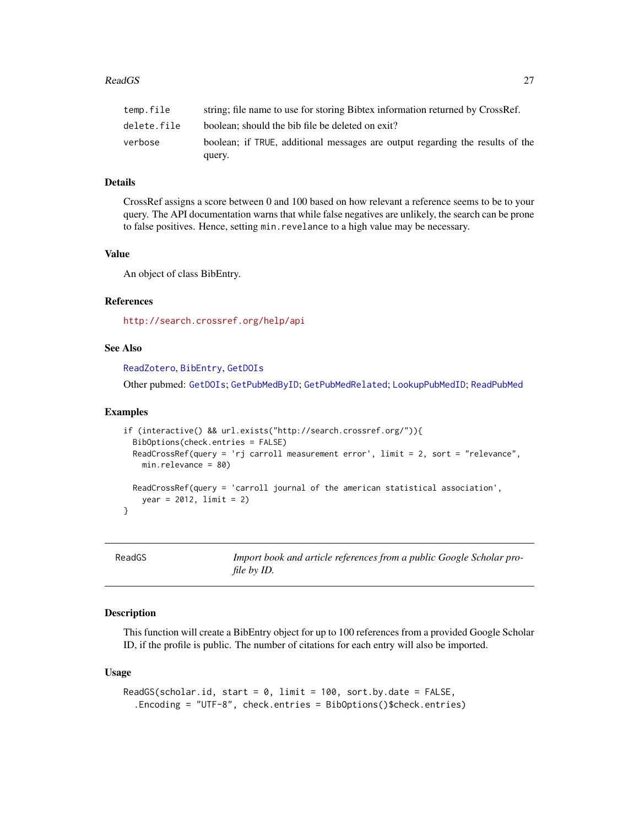## <span id="page-26-0"></span>Details

CrossRef assigns a score between 0 and 100 based on how relevant a reference seems to be to your query. The API documentation warns that while false negatives are unlikely, the search can be prone to false positives. Hence, setting min.revelance to a high value may be necessary.

## Value

An object of class BibEntry.

#### References

<http://search.crossref.org/help/api>

## See Also

[ReadZotero](#page-30-1), [BibEntry](#page-7-1), [GetDOIs](#page-16-1)

Other pubmed: [GetDOIs](#page-16-1); [GetPubMedByID](#page-17-1); [GetPubMedRelated](#page-18-1); [LookupPubMedID](#page-20-1); [ReadPubMed](#page-29-1)

#### Examples

```
if (interactive() && url.exists("http://search.crossref.org/")){
 BibOptions(check.entries = FALSE)
 ReadCrossRef(query = 'rj carroll measurement error', limit = 2, sort = "relevance",
   min.relevance = 80)
 ReadCrossRef(query = 'carroll journal of the american statistical association',
   year = 2012, limit = 2)
}
```
<span id="page-26-1"></span>ReadGS *Import book and article references from a public Google Scholar profile by ID.*

## **Description**

This function will create a BibEntry object for up to 100 references from a provided Google Scholar ID, if the profile is public. The number of citations for each entry will also be imported.

#### Usage

```
ReadGS(scholar.id, start = 0, limit = 100, sort.by.date = FALSE,
  .Encoding = "UTF-8", check.entries = BibOptions()$check.entries)
```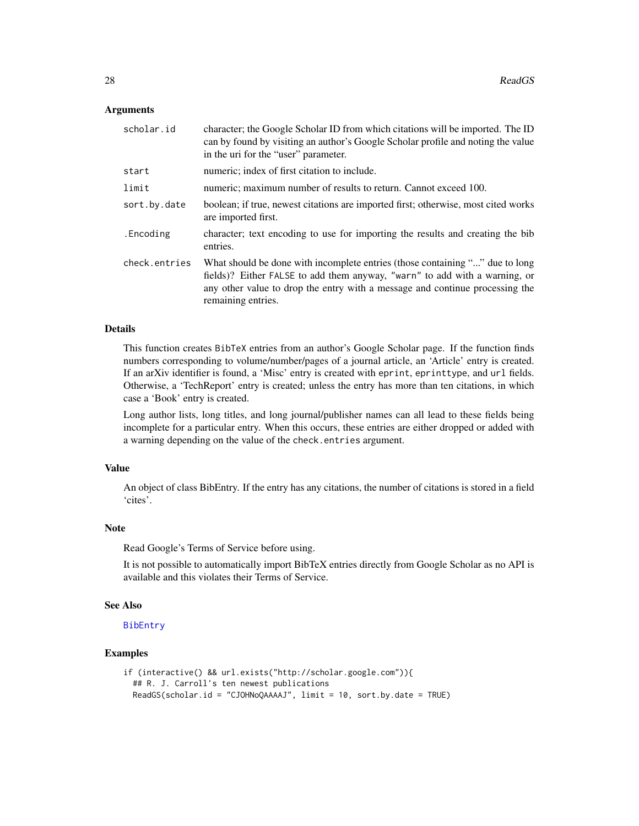#### <span id="page-27-0"></span>Arguments

| scholar.id    | character; the Google Scholar ID from which citations will be imported. The ID<br>can by found by visiting an author's Google Scholar profile and noting the value<br>in the uri for the "user" parameter.                                                       |
|---------------|------------------------------------------------------------------------------------------------------------------------------------------------------------------------------------------------------------------------------------------------------------------|
| start         | numeric; index of first citation to include.                                                                                                                                                                                                                     |
| limit         | numeric; maximum number of results to return. Cannot exceed 100.                                                                                                                                                                                                 |
| sort.by.date  | boolean; if true, newest citations are imported first; otherwise, most cited works<br>are imported first.                                                                                                                                                        |
| .Encoding     | character; text encoding to use for importing the results and creating the bib<br>entries.                                                                                                                                                                       |
| check.entries | What should be done with incomplete entries (those containing "" due to long<br>fields)? Either FALSE to add them anyway, "warn" to add with a warning, or<br>any other value to drop the entry with a message and continue processing the<br>remaining entries. |

## Details

This function creates BibTeX entries from an author's Google Scholar page. If the function finds numbers corresponding to volume/number/pages of a journal article, an 'Article' entry is created. If an arXiv identifier is found, a 'Misc' entry is created with eprint, eprinttype, and url fields. Otherwise, a 'TechReport' entry is created; unless the entry has more than ten citations, in which case a 'Book' entry is created.

Long author lists, long titles, and long journal/publisher names can all lead to these fields being incomplete for a particular entry. When this occurs, these entries are either dropped or added with a warning depending on the value of the check.entries argument.

### Value

An object of class BibEntry. If the entry has any citations, the number of citations is stored in a field 'cites'.

#### Note

Read Google's Terms of Service before using.

It is not possible to automatically import BibTeX entries directly from Google Scholar as no API is available and this violates their Terms of Service.

#### See Also

[BibEntry](#page-7-1)

## Examples

```
if (interactive() && url.exists("http://scholar.google.com")){
 ## R. J. Carroll's ten newest publications
 ReadGS(scholar.id = "CJOHNoQAAAAJ", limit = 10, sort.by.date = TRUE)
```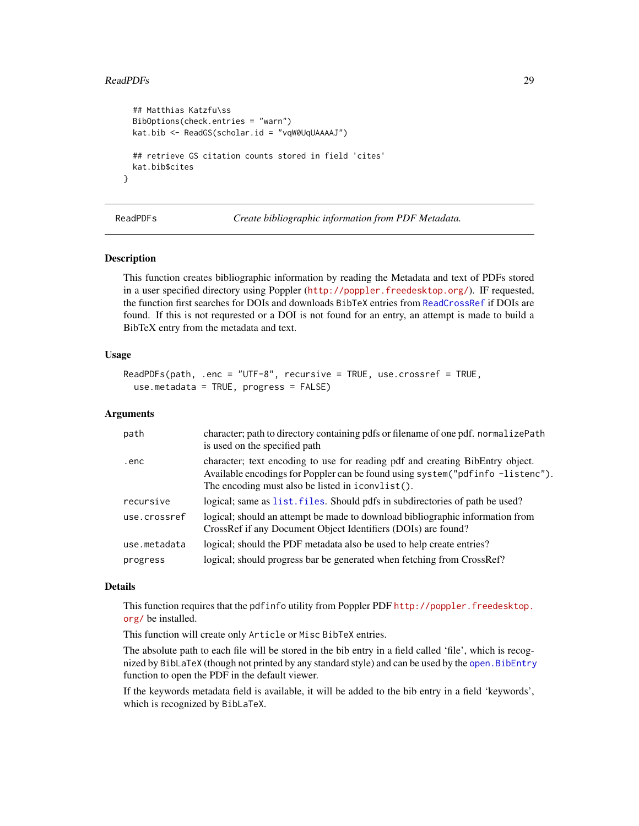#### <span id="page-28-0"></span>ReadPDFs 29

```
## Matthias Katzfu\ss
BibOptions(check.entries = "warn")
kat.bib <- ReadGS(scholar.id = "vqW0UqUAAAAJ")
## retrieve GS citation counts stored in field 'cites'
kat.bib$cites
```
<span id="page-28-1"></span>

}

ReadPDFs *Create bibliographic information from PDF Metadata.*

#### Description

This function creates bibliographic information by reading the Metadata and text of PDFs stored in a user specified directory using Poppler (<http://poppler.freedesktop.org/>). IF requested, the function first searches for DOIs and downloads BibTeX entries from [ReadCrossRef](#page-25-1) if DOIs are found. If this is not requrested or a DOI is not found for an entry, an attempt is made to build a BibTeX entry from the metadata and text.

#### Usage

```
ReadPDFs(path, .enc = "UTF-8", recursive = TRUE, use.crossref = TRUE,
 use.metadata = TRUE, progress = FALSE)
```
## Arguments

| path         | character; path to directory containing pdfs or filename of one pdf. normalizePath<br>is used on the specified path                                                                                                  |
|--------------|----------------------------------------------------------------------------------------------------------------------------------------------------------------------------------------------------------------------|
| .enc         | character; text encoding to use for reading pdf and creating BibEntry object.<br>Available encodings for Poppler can be found using system ("pdfinfo -listenc").<br>The encoding must also be listed in iconvlist(). |
| recursive    | logical; same as list, files. Should pdfs in subdirectories of path be used?                                                                                                                                         |
| use.crossref | logical; should an attempt be made to download bibliographic information from<br>CrossRef if any Document Object Identifiers (DOIs) are found?                                                                       |
| use.metadata | logical; should the PDF metadata also be used to help create entries?                                                                                                                                                |
| progress     | logical; should progress bar be generated when fetching from CrossRef?                                                                                                                                               |

#### Details

This function requires that the pdfinfo utility from Poppler PDF [http://poppler.freedesktop.](http://poppler.freedesktop.org/) [org/](http://poppler.freedesktop.org/) be installed.

This function will create only Article or Misc BibTeX entries.

The absolute path to each file will be stored in the bib entry in a field called 'file', which is recognized by BibLaTeX (though not printed by any standard style) and can be used by the [open.BibEntry](#page-22-1) function to open the PDF in the default viewer.

If the keywords metadata field is available, it will be added to the bib entry in a field 'keywords', which is recognized by BibLaTeX.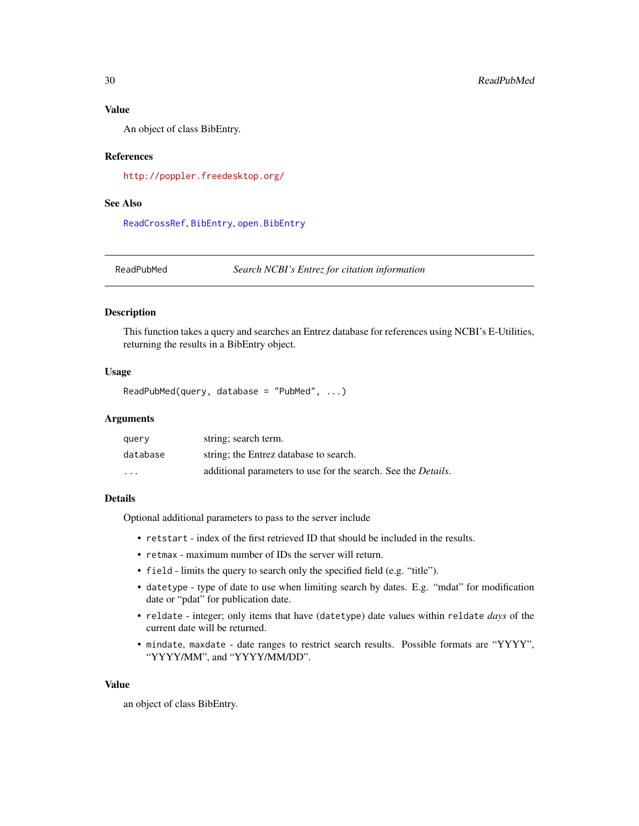## <span id="page-29-0"></span>Value

An object of class BibEntry.

## References

<http://poppler.freedesktop.org/>

## See Also

[ReadCrossRef](#page-25-1), [BibEntry](#page-7-1), [open.BibEntry](#page-22-1)

<span id="page-29-1"></span>ReadPubMed *Search NCBI's Entrez for citation information*

#### Description

This function takes a query and searches an Entrez database for references using NCBI's E-Utilities, returning the results in a BibEntry object.

## Usage

```
ReadPubMed(query, database = "PubMed", ...)
```
## Arguments

| query    | string; search term.                                                  |
|----------|-----------------------------------------------------------------------|
| database | string; the Entrez database to search.                                |
| .        | additional parameters to use for the search. See the <i>Details</i> . |

#### Details

Optional additional parameters to pass to the server include

- retstart index of the first retrieved ID that should be included in the results.
- retmax maximum number of IDs the server will return.
- field limits the query to search only the specified field (e.g. "title").
- datetype type of date to use when limiting search by dates. E.g. "mdat" for modification date or "pdat" for publication date.
- reldate integer; only items that have (datetype) date values within reldate *days* of the current date will be returned.
- mindate, maxdate date ranges to restrict search results. Possible formats are "YYYY", "YYYY/MM", and "YYYY/MM/DD".

## Value

an object of class BibEntry.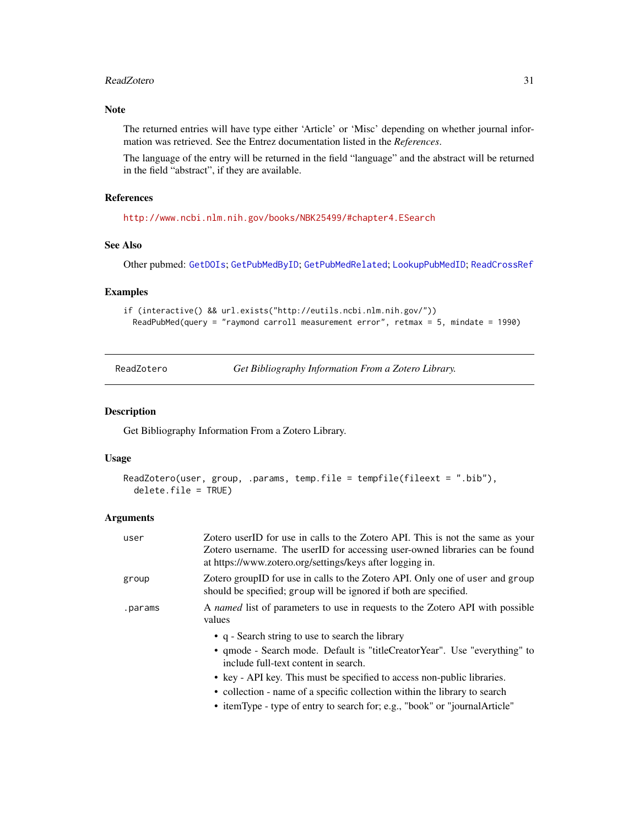#### <span id="page-30-0"></span>ReadZotero 31

## Note

The returned entries will have type either 'Article' or 'Misc' depending on whether journal information was retrieved. See the Entrez documentation listed in the *References*.

The language of the entry will be returned in the field "language" and the abstract will be returned in the field "abstract", if they are available.

## References

<http://www.ncbi.nlm.nih.gov/books/NBK25499/#chapter4.ESearch>

## See Also

Other pubmed: [GetDOIs](#page-16-1); [GetPubMedByID](#page-17-1); [GetPubMedRelated](#page-18-1); [LookupPubMedID](#page-20-1); [ReadCrossRef](#page-25-1)

## Examples

```
if (interactive() && url.exists("http://eutils.ncbi.nlm.nih.gov/"))
 ReadPubMed(query = "raymond carroll measurement error", retmax = 5, mindate = 1990)
```
<span id="page-30-1"></span>ReadZotero *Get Bibliography Information From a Zotero Library.*

#### Description

Get Bibliography Information From a Zotero Library.

#### Usage

```
ReadZotero(user, group, .params, temp.file = tempfile(fileext = ".bib"),
 delete.file = TRUE)
```

| user    | Zotero userID for use in calls to the Zotero API. This is not the same as your<br>Zotero username. The userID for accessing user-owned libraries can be found<br>at https://www.zotero.org/settings/keys after logging in.                                                                                                    |
|---------|-------------------------------------------------------------------------------------------------------------------------------------------------------------------------------------------------------------------------------------------------------------------------------------------------------------------------------|
| group   | Zotero groupID for use in calls to the Zotero API. Only one of user and group<br>should be specified; group will be ignored if both are specified.                                                                                                                                                                            |
| .params | A named list of parameters to use in requests to the Zotero API with possible<br>values                                                                                                                                                                                                                                       |
|         | • q - Search string to use to search the library<br>• qmode - Search mode. Default is "titleCreatorYear". Use "everything" to<br>include full-text content in search.<br>• key - API key. This must be specified to access non-public libraries.<br>• collection - name of a specific collection within the library to search |
|         | • itemType - type of entry to search for; e.g., "book" or "journal Article"                                                                                                                                                                                                                                                   |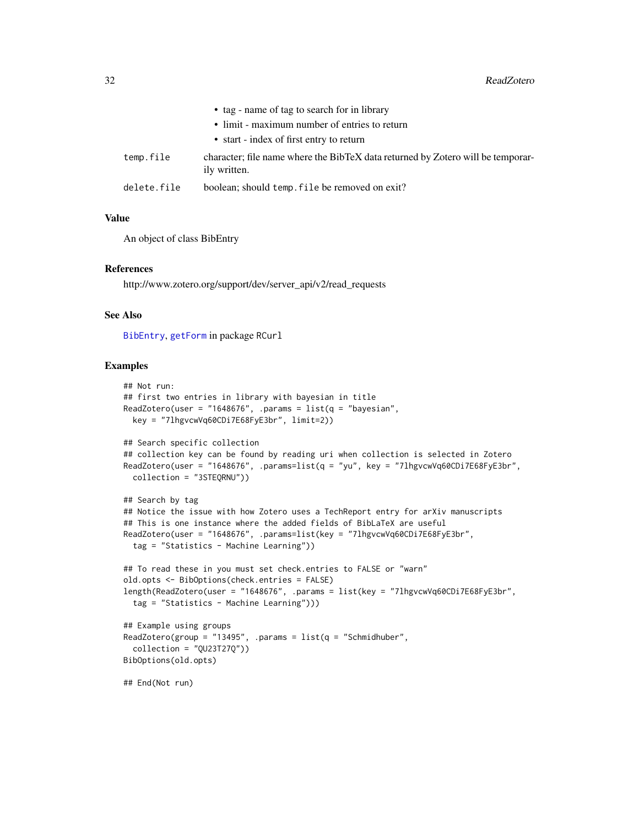<span id="page-31-0"></span>

|             | • tag - name of tag to search for in library                                                    |
|-------------|-------------------------------------------------------------------------------------------------|
|             | • limit - maximum number of entries to return                                                   |
|             | • start - index of first entry to return                                                        |
| temp.file   | character; file name where the BibTeX data returned by Zotero will be temporar-<br>ily written. |
| delete.file | boolean; should temp. file be removed on exit?                                                  |

## Value

An object of class BibEntry

#### References

http://www.zotero.org/support/dev/server\_api/v2/read\_requests

## See Also

[BibEntry](#page-7-1), [getForm](#page-0-0) in package RCurl

## Examples

```
## Not run:
## first two entries in library with bayesian in title
ReadZotero(user = "1648676", .params = list(q = "bayesian",key = "7lhgvcwVq60CDi7E68FyE3br", limit=2))
## Search specific collection
## collection key can be found by reading uri when collection is selected in Zotero
ReadZotero(user = "1648676", .params=list(q = "yu", key = "7lhgvcwVq60CDi7E68FyE3br",
  collection = "3STEQRNU"))
## Search by tag
## Notice the issue with how Zotero uses a TechReport entry for arXiv manuscripts
## This is one instance where the added fields of BibLaTeX are useful
ReadZotero(user = "1648676", .params=list(key = "7lhgvcwVq60CDi7E68FyE3br",
  tag = "Statistics - Machine Learning"))
## To read these in you must set check.entries to FALSE or "warn"
old.opts <- BibOptions(check.entries = FALSE)
length(ReadZotero(user = "1648676", .params = list(key = "7lhgvcwVq60CDi7E68FyE3br",
  tag = "Statistics - Machine Learning")))
## Example using groups
ReadZotero(group = "13495", .params = list(q = "Schmidt)uber",
  collection = "QU23T27Q"))
BibOptions(old.opts)
## End(Not run)
```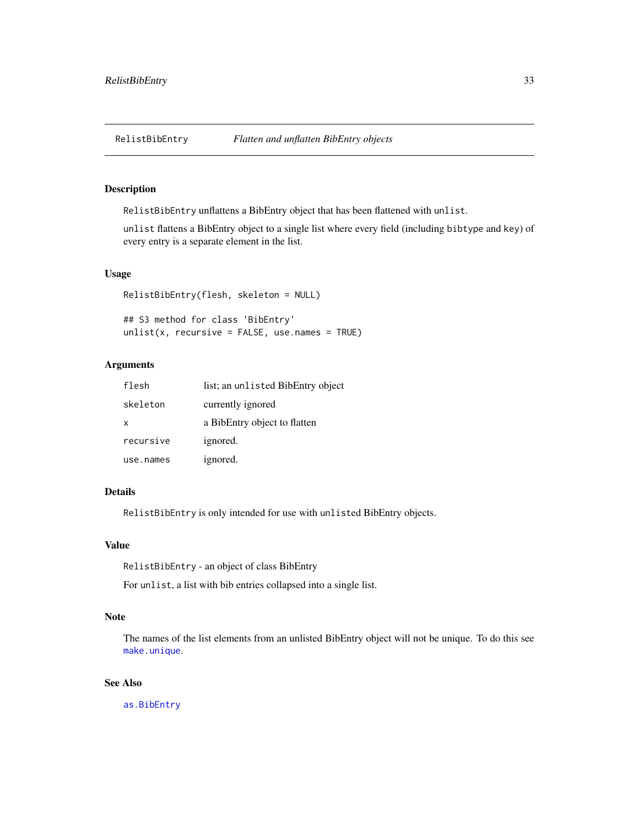<span id="page-32-0"></span>

## Description

RelistBibEntry unflattens a BibEntry object that has been flattened with unlist.

unlist flattens a BibEntry object to a single list where every field (including bibtype and key) of every entry is a separate element in the list.

## Usage

RelistBibEntry(flesh, skeleton = NULL)

## S3 method for class 'BibEntry'  $unlist(x, recursive = FALSE, use.name = TRUE)$ 

## Arguments

| flesh     | list; an unlisted BibEntry object |
|-----------|-----------------------------------|
| skeleton  | currently ignored                 |
| x         | a BibEntry object to flatten      |
| recursive | ignored.                          |
| use.names | ignored.                          |

## Details

RelistBibEntry is only intended for use with unlisted BibEntry objects.

## Value

RelistBibEntry - an object of class BibEntry

For unlist, a list with bib entries collapsed into a single list.

#### Note

The names of the list elements from an unlisted BibEntry object will not be unique. To do this see [make.unique](#page-0-0).

## See Also

[as.BibEntry](#page-4-1)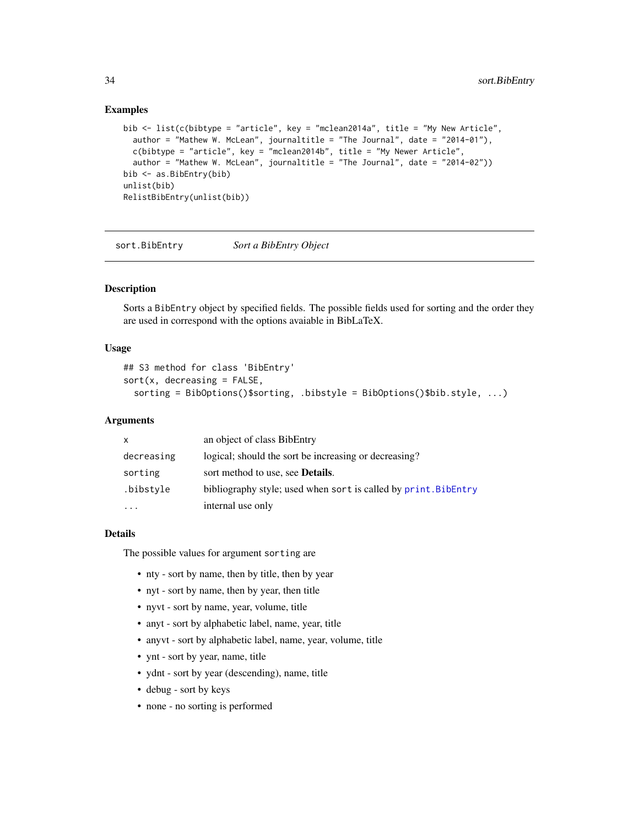## <span id="page-33-0"></span>Examples

```
bib <- list(c(bibtype = "article", key = "mclean2014a", title = "My New Article",
  author = "Mathew W. McLean", journaltitle = "The Journal", date = "2014-01"),
  c(bibtype = "article", key = "mclean2014b", title = "My Newer Article",
  author = "Mathew W. McLean", journaltitle = "The Journal", date = "2014-02"))
bib <- as.BibEntry(bib)
unlist(bib)
RelistBibEntry(unlist(bib))
```
<span id="page-33-1"></span>sort.BibEntry *Sort a BibEntry Object*

#### Description

Sorts a BibEntry object by specified fields. The possible fields used for sorting and the order they are used in correspond with the options avaiable in BibLaTeX.

## Usage

```
## S3 method for class 'BibEntry'
sort(x, decreasing = FALSE,sorting = BibOptions()$sorting, .bibstyle = BibOptions()$bib.style, ...)
```
#### Arguments

| X          | an object of class BibEntry                                     |
|------------|-----------------------------------------------------------------|
| decreasing | logical; should the sort be increasing or decreasing?           |
| sorting    | sort method to use, see <b>Details</b> .                        |
| .bibstyle  | bibliography style; used when sort is called by print. BibEntry |
|            | internal use only                                               |

## Details

The possible values for argument sorting are

- nty sort by name, then by title, then by year
- nyt sort by name, then by year, then title
- nyvt sort by name, year, volume, title
- anyt sort by alphabetic label, name, year, title
- anyvt sort by alphabetic label, name, year, volume, title
- ynt sort by year, name, title
- ydnt sort by year (descending), name, title
- debug sort by keys
- none no sorting is performed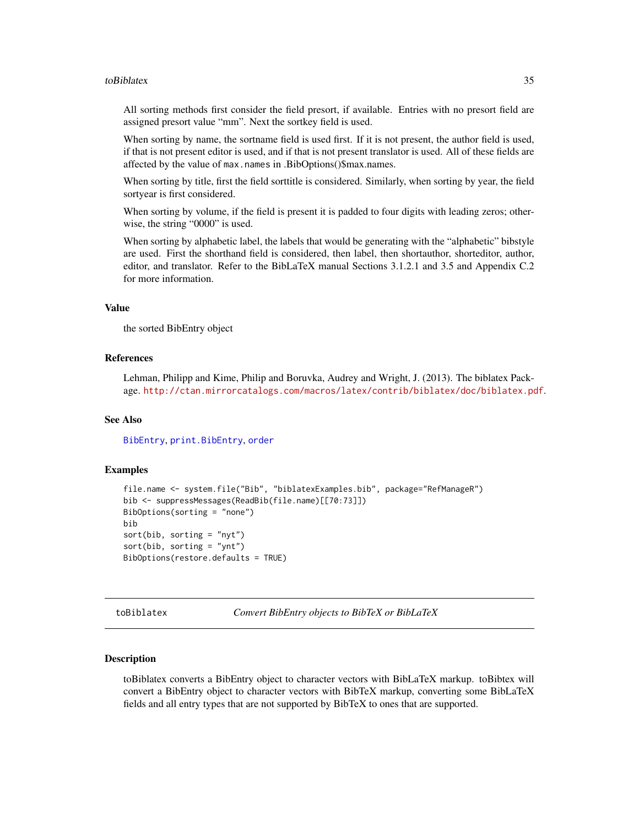#### <span id="page-34-0"></span>toBiblatex 35

All sorting methods first consider the field presort, if available. Entries with no presort field are assigned presort value "mm". Next the sortkey field is used.

When sorting by name, the sortname field is used first. If it is not present, the author field is used, if that is not present editor is used, and if that is not present translator is used. All of these fields are affected by the value of max.names in .BibOptions()\$max.names.

When sorting by title, first the field sorttitle is considered. Similarly, when sorting by year, the field sortyear is first considered.

When sorting by volume, if the field is present it is padded to four digits with leading zeros; otherwise, the string "0000" is used.

When sorting by alphabetic label, the labels that would be generating with the "alphabetic" bibstyle are used. First the shorthand field is considered, then label, then shortauthor, shorteditor, author, editor, and translator. Refer to the BibLaTeX manual Sections 3.1.2.1 and 3.5 and Appendix C.2 for more information.

#### Value

the sorted BibEntry object

#### References

Lehman, Philipp and Kime, Philip and Boruvka, Audrey and Wright, J. (2013). The biblatex Package. <http://ctan.mirrorcatalogs.com/macros/latex/contrib/biblatex/doc/biblatex.pdf>.

## See Also

[BibEntry](#page-7-1), [print.BibEntry](#page-23-1), [order](#page-0-0)

## Examples

```
file.name <- system.file("Bib", "biblatexExamples.bib", package="RefManageR")
bib <- suppressMessages(ReadBib(file.name)[[70:73]])
BibOptions(sorting = "none")
bib
sort(bib, sorting = "nyt")
sort(bib, sorting = "ynt")
BibOptions(restore.defaults = TRUE)
```
<span id="page-34-2"></span>toBiblatex *Convert BibEntry objects to BibTeX or BibLaTeX*

#### <span id="page-34-1"></span>Description

toBiblatex converts a BibEntry object to character vectors with BibLaTeX markup. toBibtex will convert a BibEntry object to character vectors with BibTeX markup, converting some BibLaTeX fields and all entry types that are not supported by BibTeX to ones that are supported.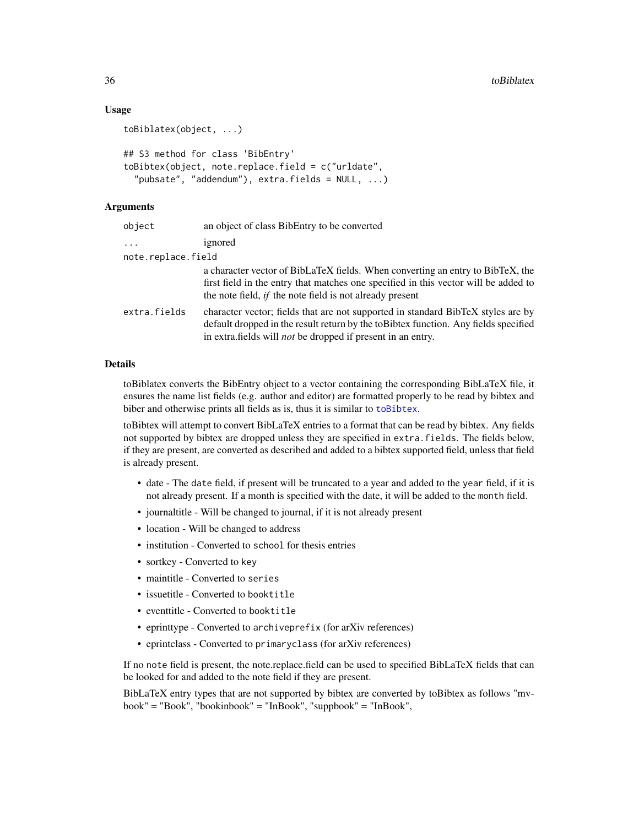## <span id="page-35-0"></span>Usage

```
toBiblatex(object, ...)
## S3 method for class 'BibEntry'
toBibtex(object, note.replace.field = c("urldate",
 "pubsate", "addendum"), extra.fields = NULL, ...)
```
## Arguments

| object             | an object of class BibEntry to be converted                                                                                                                                                                                                    |
|--------------------|------------------------------------------------------------------------------------------------------------------------------------------------------------------------------------------------------------------------------------------------|
| $\cdots$           | ignored                                                                                                                                                                                                                                        |
| note.replace.field |                                                                                                                                                                                                                                                |
|                    | a character vector of BibLaTeX fields. When converting an entry to BibTeX, the<br>first field in the entry that matches one specified in this vector will be added to<br>the note field, <i>if</i> the note field is not already present       |
| extra.fields       | character vector; fields that are not supported in standard BibTeX styles are by<br>default dropped in the result return by the toBibtex function. Any fields specified<br>in extra. fields will <i>not</i> be dropped if present in an entry. |

#### Details

toBiblatex converts the BibEntry object to a vector containing the corresponding BibLaTeX file, it ensures the name list fields (e.g. author and editor) are formatted properly to be read by bibtex and biber and otherwise prints all fields as is, thus it is similar to [toBibtex](#page-34-1).

toBibtex will attempt to convert BibLaTeX entries to a format that can be read by bibtex. Any fields not supported by bibtex are dropped unless they are specified in extra.fields. The fields below, if they are present, are converted as described and added to a bibtex supported field, unless that field is already present.

- date The date field, if present will be truncated to a year and added to the year field, if it is not already present. If a month is specified with the date, it will be added to the month field.
- journaltitle Will be changed to journal, if it is not already present
- location Will be changed to address
- institution Converted to school for thesis entries
- sortkey Converted to key
- maintitle Converted to series
- issuetitle Converted to booktitle
- eventtitle Converted to booktitle
- eprinttype Converted to archiveprefix (for arXiv references)
- eprintclass Converted to primaryclass (for arXiv references)

If no note field is present, the note.replace.field can be used to specified BibLaTeX fields that can be looked for and added to the note field if they are present.

BibLaTeX entry types that are not supported by bibtex are converted by toBibtex as follows "mvbook" = "Book", "bookinbook" = "InBook", "suppbook" = "InBook",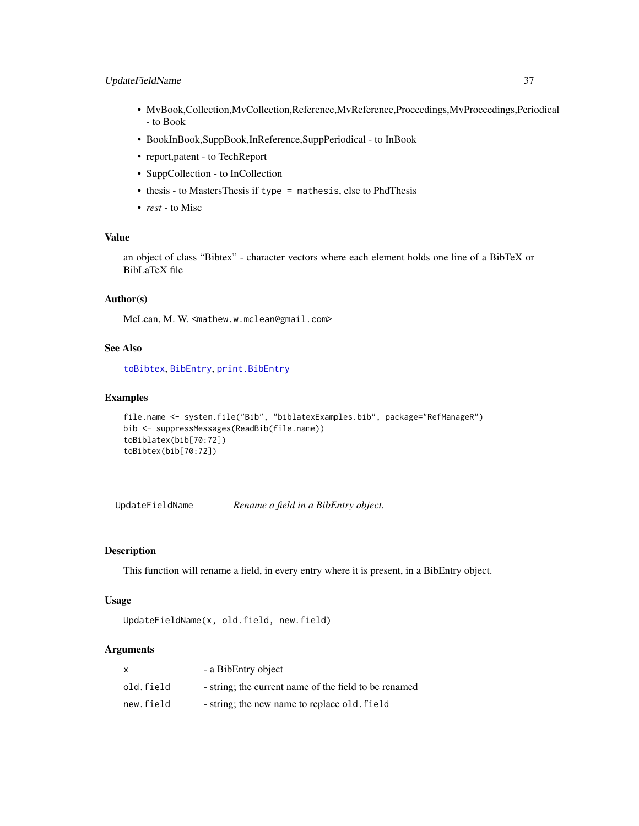## <span id="page-36-0"></span>UpdateFieldName 37

- MvBook,Collection,MvCollection,Reference,MvReference,Proceedings,MvProceedings,Periodical - to Book
- BookInBook,SuppBook,InReference,SuppPeriodical to InBook
- report,patent to TechReport
- SuppCollection to InCollection
- thesis to MastersThesis if type = mathesis, else to PhdThesis
- *rest* to Misc

## Value

an object of class "Bibtex" - character vectors where each element holds one line of a BibTeX or BibLaTeX file

#### Author(s)

McLean, M. W. <mathew.w.mclean@gmail.com>

#### See Also

[toBibtex](#page-34-1), [BibEntry](#page-7-1), [print.BibEntry](#page-23-1)

#### Examples

```
file.name <- system.file("Bib", "biblatexExamples.bib", package="RefManageR")
bib <- suppressMessages(ReadBib(file.name))
toBiblatex(bib[70:72])
toBibtex(bib[70:72])
```
UpdateFieldName *Rename a field in a BibEntry object.*

## Description

This function will rename a field, in every entry where it is present, in a BibEntry object.

## Usage

```
UpdateFieldName(x, old.field, new.field)
```

| X         | - a BibEntry object                                   |
|-----------|-------------------------------------------------------|
| old.field | - string; the current name of the field to be renamed |
| new.field | - string; the new name to replace old. field          |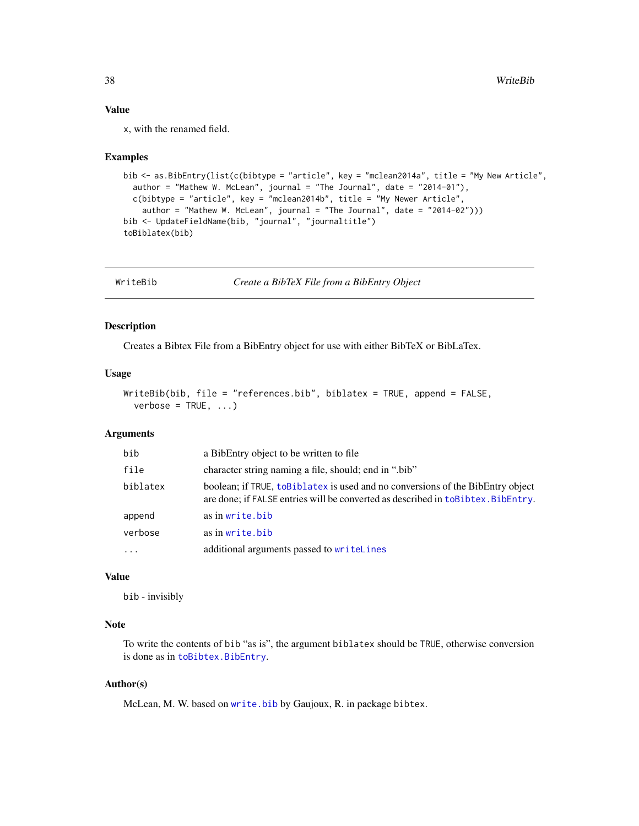## Value

x, with the renamed field.

#### Examples

```
bib <- as.BibEntry(list(c(bibtype = "article", key = "mclean2014a", title = "My New Article",
  author = "Mathew W. McLean", journal = "The Journal", date = "2014-01"),
  c(bibtype = "article", key = "mclean2014b", title = "My Newer Article",
   author = "Mathew W. McLean", journal = "The Journal", date = "2014-02")))
bib <- UpdateFieldName(bib, "journal", "journaltitle")
toBiblatex(bib)
```
<span id="page-37-1"></span>WriteBib *Create a BibTeX File from a BibEntry Object*

## Description

Creates a Bibtex File from a BibEntry object for use with either BibTeX or BibLaTex.

#### Usage

```
WriteBib(bib, file = "references.bib", biblatex = TRUE, append = FALSE,
  verbose = TRUE, ...)
```
## Arguments

| bib      | a BibEntry object to be written to file.                                                                                                                             |
|----------|----------------------------------------------------------------------------------------------------------------------------------------------------------------------|
| file     | character string naming a file, should; end in "bib"                                                                                                                 |
| biblatex | boolean; if TRUE, to Biblatex is used and no conversions of the BibEntry object<br>are done; if FALSE entries will be converted as described in to Bibtex. BibEntry. |
| append   | as in write.bib                                                                                                                                                      |
| verbose  | as in write, bib                                                                                                                                                     |
| $\cdots$ | additional arguments passed to writeLines                                                                                                                            |

## Value

bib - invisibly

## Note

To write the contents of bib "as is", the argument biblatex should be TRUE, otherwise conversion is done as in [toBibtex.BibEntry](#page-34-1).

## Author(s)

McLean, M. W. based on [write.bib](#page-0-0) by Gaujoux, R. in package bibtex.

<span id="page-37-0"></span>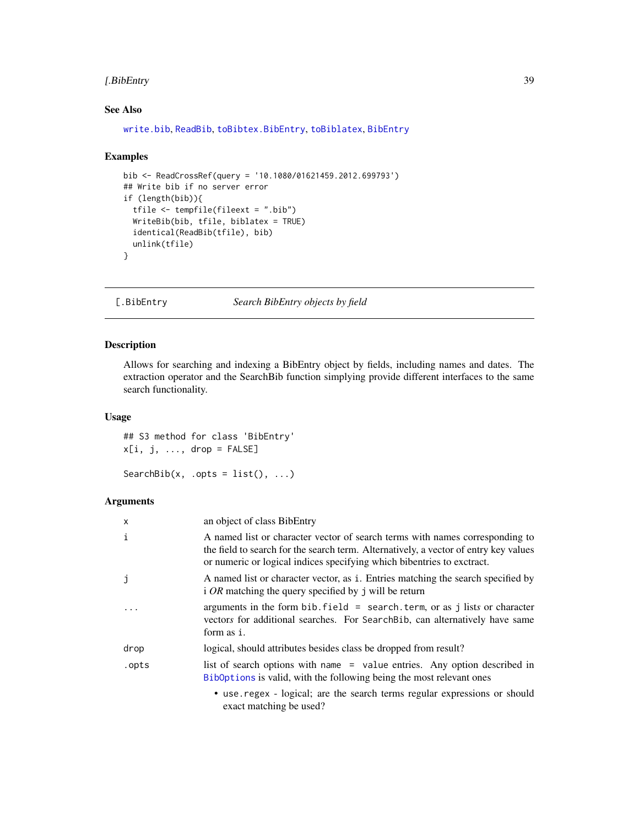## <span id="page-38-0"></span>[.BibEntry 39

## See Also

[write.bib](#page-0-0), [ReadBib](#page-24-1), [toBibtex.BibEntry](#page-34-1), [toBiblatex](#page-34-2), [BibEntry](#page-7-1)

#### Examples

```
bib <- ReadCrossRef(query = '10.1080/01621459.2012.699793')
## Write bib if no server error
if (length(bib)){
  tfile <- tempfile(fileext = ".bib")
  WriteBib(bib, tfile, biblatex = TRUE)
  identical(ReadBib(tfile), bib)
  unlink(tfile)
}
```
<span id="page-38-1"></span>[.BibEntry *Search BibEntry objects by field*

## <span id="page-38-2"></span>Description

Allows for searching and indexing a BibEntry object by fields, including names and dates. The extraction operator and the SearchBib function simplying provide different interfaces to the same search functionality.

## Usage

```
## S3 method for class 'BibEntry'
x[i, j, ..., drop = FALSE]SearchBib(x, .opts = list(), ...)
```

| x            | an object of class BibEntry                                                                                                                                                                                                                    |
|--------------|------------------------------------------------------------------------------------------------------------------------------------------------------------------------------------------------------------------------------------------------|
| $\mathbf{i}$ | A named list or character vector of search terms with names corresponding to<br>the field to search for the search term. Alternatively, a vector of entry key values<br>or numeric or logical indices specifying which bibentries to exctract. |
| j            | A named list or character vector, as i. Entries matching the search specified by<br>i OR matching the query specified by j will be return                                                                                                      |
|              | arguments in the form bib. field = search. term, or as j lists or character<br>vectors for additional searches. For Search Bib, can alternatively have same<br>form as i.                                                                      |
| drop         | logical, should attributes besides class be dropped from result?                                                                                                                                                                               |
| .opts        | list of search options with name = value entries. Any option described in<br>Biboptions is valid, with the following being the most relevant ones                                                                                              |
|              | • use. regex - logical; are the search terms regular expressions or should<br>exact matching be used?                                                                                                                                          |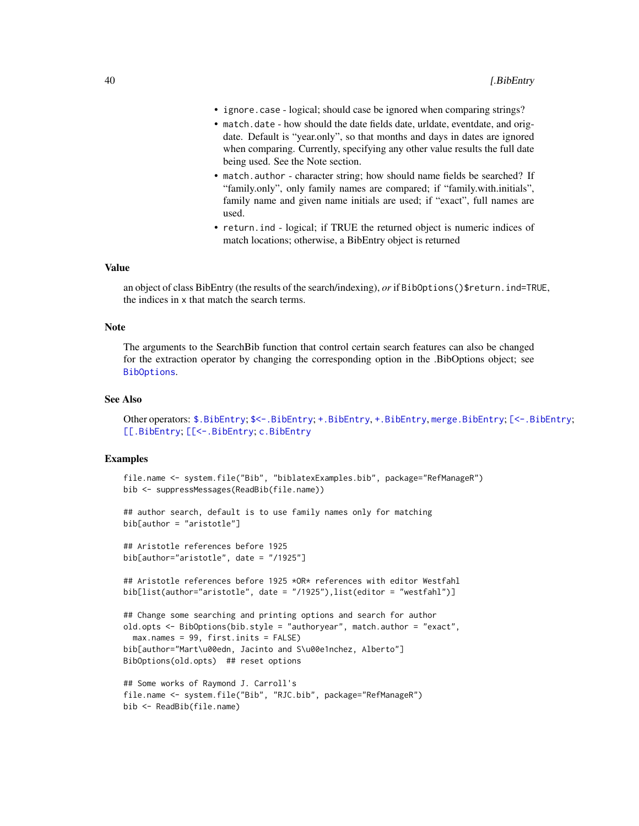- <span id="page-39-0"></span>• ignore.case - logical; should case be ignored when comparing strings?
- match.date how should the date fields date, urldate, eventdate, and origdate. Default is "year.only", so that months and days in dates are ignored when comparing. Currently, specifying any other value results the full date being used. See the Note section.
- match.author character string; how should name fields be searched? If "family.only", only family names are compared; if "family.with.initials", family name and given name initials are used; if "exact", full names are used.
- return.ind logical; if TRUE the returned object is numeric indices of match locations; otherwise, a BibEntry object is returned

#### Value

an object of class BibEntry (the results of the search/indexing), *or* if BibOptions()\$return.ind=TRUE, the indices in x that match the search terms.

#### Note

The arguments to the SearchBib function that control certain search features can also be changed for the extraction operator by changing the corresponding option in the .BibOptions object; see [BibOptions](#page-10-1).

#### See Also

Other operators: [\\$.BibEntry](#page-43-1); [\\$<-.BibEntry](#page-44-1); [+.BibEntry](#page-3-2), [+.BibEntry](#page-3-2), [merge.BibEntry](#page-3-1); [\[<-.BibEntry](#page-40-1); [\[\[.BibEntry](#page-42-1); [\[\[<-.BibEntry](#page-43-2); [c.BibEntry](#page-12-1)

#### Examples

```
file.name <- system.file("Bib", "biblatexExamples.bib", package="RefManageR")
bib <- suppressMessages(ReadBib(file.name))
```

```
## author search, default is to use family names only for matching
bib[author = "aristotle"]
```

```
## Aristotle references before 1925
bib[author="aristotle", date = "/1925"]
```
## Aristotle references before 1925 \*OR\* references with editor Westfahl bib[list(author="aristotle", date = "/1925"),list(editor = "westfahl")]

```
## Change some searching and printing options and search for author
old.opts <- BibOptions(bib.style = "authoryear", match.author = "exact",
 max.names = 99, first.inits = FALSE)
bib[author="Mart\u00edn, Jacinto and S\u00e1nchez, Alberto"]
BibOptions(old.opts) ## reset options
```

```
## Some works of Raymond J. Carroll's
file.name <- system.file("Bib", "RJC.bib", package="RefManageR")
bib <- ReadBib(file.name)
```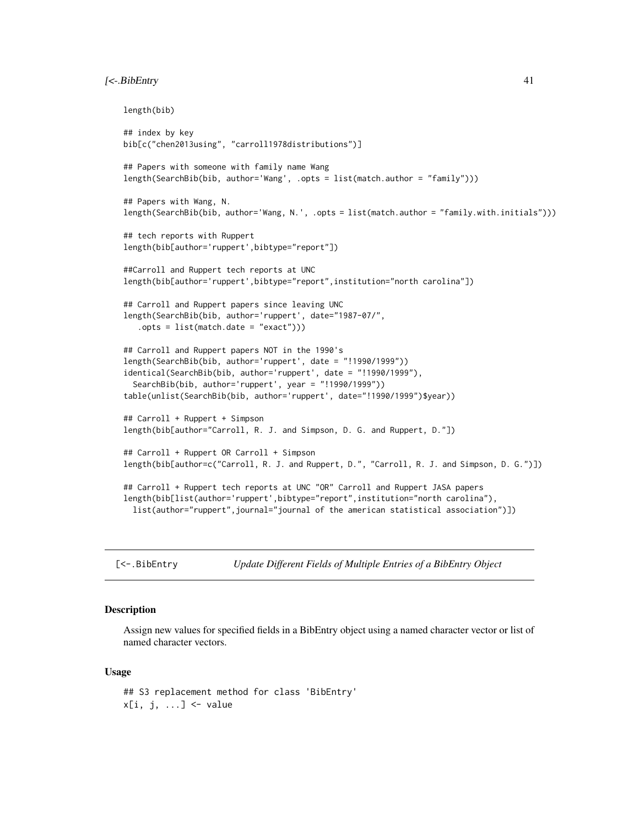## <span id="page-40-0"></span>[<-.BibEntry 41

```
length(bib)
## index by key
bib[c("chen2013using", "carroll1978distributions")]
## Papers with someone with family name Wang
length(SearchBib(bib, author='Wang', .opts = list(match.author = "family")))
## Papers with Wang, N.
length(SearchBib(bib, author='Wang, N.', .opts = list(match.author = "family.with.initials")))
## tech reports with Ruppert
length(bib[author='ruppert',bibtype="report"])
##Carroll and Ruppert tech reports at UNC
length(bib[author='ruppert',bibtype="report",institution="north carolina"])
## Carroll and Ruppert papers since leaving UNC
length(SearchBib(bib, author='ruppert', date="1987-07/",
   .opts = list(match.date = "exact")))
## Carroll and Ruppert papers NOT in the 1990's
length(SearchBib(bib, author='ruppert', date = "!1990/1999"))
identical(SearchBib(bib, author='ruppert', date = "!1990/1999"),
 SearchBib(bib, author='ruppert', year = "!1990/1999"))
table(unlist(SearchBib(bib, author='ruppert', date="!1990/1999")$year))
## Carroll + Ruppert + Simpson
length(bib[author="Carroll, R. J. and Simpson, D. G. and Ruppert, D."])
## Carroll + Ruppert OR Carroll + Simpson
length(bib[author=c("Carroll, R. J. and Ruppert, D.", "Carroll, R. J. and Simpson, D. G.")])
## Carroll + Ruppert tech reports at UNC "OR" Carroll and Ruppert JASA papers
length(bib[list(author='ruppert',bibtype="report",institution="north carolina"),
 list(author="ruppert",journal="journal of the american statistical association")])
```
<span id="page-40-1"></span>[<-.BibEntry *Update Different Fields of Multiple Entries of a BibEntry Object*

#### **Description**

Assign new values for specified fields in a BibEntry object using a named character vector or list of named character vectors.

#### Usage

```
## S3 replacement method for class 'BibEntry'
x[i, j, ...] <- value
```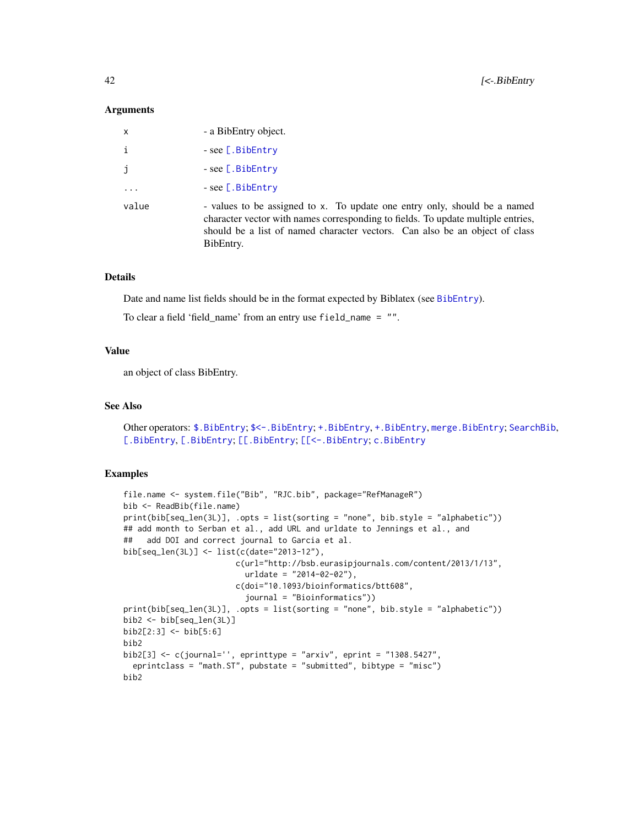#### <span id="page-41-0"></span>**Arguments**

| $\mathsf{x}$ | - a BibEntry object.                                                                                                                                                                                                                                      |
|--------------|-----------------------------------------------------------------------------------------------------------------------------------------------------------------------------------------------------------------------------------------------------------|
| $\mathbf{i}$ | $-$ see [.BibEntry                                                                                                                                                                                                                                        |
| j            | $-$ see [.BibEntry                                                                                                                                                                                                                                        |
|              | $-$ see [.BibEntry                                                                                                                                                                                                                                        |
| value        | - values to be assigned to x. To update one entry only, should be a named<br>character vector with names corresponding to fields. To update multiple entries,<br>should be a list of named character vectors. Can also be an object of class<br>BibEntry. |

#### Details

Date and name list fields should be in the format expected by Biblatex (see [BibEntry](#page-7-1)).

To clear a field 'field\_name' from an entry use field\_name = "".

## Value

an object of class BibEntry.

## See Also

Other operators: [\\$.BibEntry](#page-43-1); [\\$<-.BibEntry](#page-44-1); [+.BibEntry](#page-3-2), [+.BibEntry](#page-3-2), [merge.BibEntry](#page-3-1); [SearchBib](#page-38-2), [\[.BibEntry](#page-38-1), [\[.BibEntry](#page-38-1); [\[\[.BibEntry](#page-42-1); [\[\[<-.BibEntry](#page-43-2); [c.BibEntry](#page-12-1)

#### Examples

```
file.name <- system.file("Bib", "RJC.bib", package="RefManageR")
bib <- ReadBib(file.name)
print(bib[seq_len(3L)], .opts = list(sorting = "none", bib.style = "alphabetic"))
## add month to Serban et al., add URL and urldate to Jennings et al., and
## add DOI and correct journal to Garcia et al.
bib[seq_len(3L)] <- list(c(date="2013-12"),
                       c(url="http://bsb.eurasipjournals.com/content/2013/1/13",
                          urldate = "2014-02-02"),
                        c(doi="10.1093/bioinformatics/btt608",
                         journal = "Bioinformatics"))
print(bib[seq_len(3L)], .opts = list(sorting = "none", bib.style = "alphabetic"))
bib2 <- bib[seq_len(3L)]
bib2[2:3] <- bib[5:6]
bib2
bib2[3] <- c(journal='', eprinttype = "arxiv", eprint = "1308.5427",
  eprintclass = "math.ST", pubstate = "submitted", bibtype = "misc")
bib2
```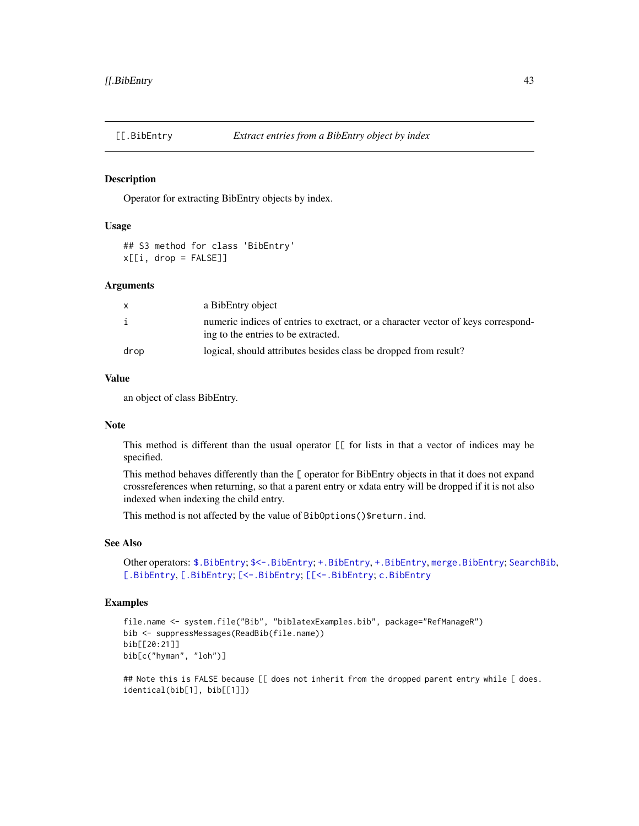<span id="page-42-1"></span><span id="page-42-0"></span>

#### **Description**

Operator for extracting BibEntry objects by index.

#### Usage

## S3 method for class 'BibEntry'  $x[[i, drop = FALSE]]$ 

#### Arguments

| $\mathsf{x}$ | a BibEntry object                                                                                                        |
|--------------|--------------------------------------------------------------------------------------------------------------------------|
| i            | numeric indices of entries to exctract, or a character vector of keys correspond-<br>ing to the entries to be extracted. |
| drop         | logical, should attributes besides class be dropped from result?                                                         |

## Value

an object of class BibEntry.

## Note

This method is different than the usual operator [[ for lists in that a vector of indices may be specified.

This method behaves differently than the [ operator for BibEntry objects in that it does not expand crossreferences when returning, so that a parent entry or xdata entry will be dropped if it is not also indexed when indexing the child entry.

This method is not affected by the value of BibOptions()\$return.ind.

#### See Also

Other operators: [\\$.BibEntry](#page-43-1); [\\$<-.BibEntry](#page-44-1); [+.BibEntry](#page-3-2), [+.BibEntry](#page-3-2), [merge.BibEntry](#page-3-1); [SearchBib](#page-38-2), [\[.BibEntry](#page-38-1), [\[.BibEntry](#page-38-1); [\[<-.BibEntry](#page-40-1); [\[\[<-.BibEntry](#page-43-2); [c.BibEntry](#page-12-1)

## Examples

```
file.name <- system.file("Bib", "biblatexExamples.bib", package="RefManageR")
bib <- suppressMessages(ReadBib(file.name))
bib[[20:21]]
bib[c("hyman", "loh")]
```
## Note this is FALSE because [[ does not inherit from the dropped parent entry while [ does. identical(bib[1], bib[[1]])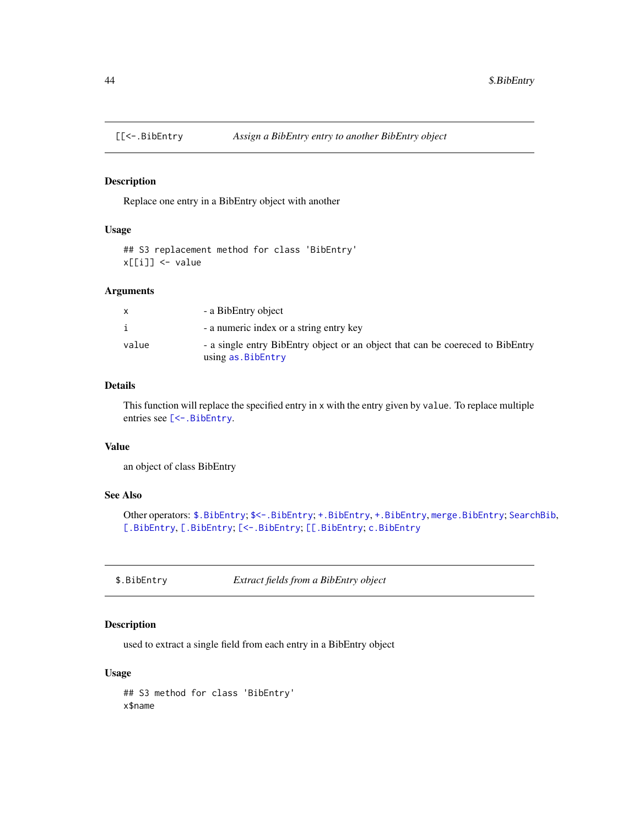<span id="page-43-2"></span><span id="page-43-0"></span>

#### Description

Replace one entry in a BibEntry object with another

## Usage

```
## S3 replacement method for class 'BibEntry'
x[[i]] <- value
```
#### Arguments

| x     | - a BibEntry object                                                                                 |
|-------|-----------------------------------------------------------------------------------------------------|
|       | - a numeric index or a string entry key                                                             |
| value | - a single entry BibEntry object or an object that can be coereced to BibEntry<br>using as.BibEntry |

## Details

This function will replace the specified entry in x with the entry given by value. To replace multiple entries see [\[<-.BibEntry](#page-40-1).

## Value

an object of class BibEntry

## See Also

Other operators: [\\$.BibEntry](#page-43-1); [\\$<-.BibEntry](#page-44-1); [+.BibEntry](#page-3-2), +.BibEntry, [merge.BibEntry](#page-3-1); [SearchBib](#page-38-2), [\[.BibEntry](#page-38-1), [\[.BibEntry](#page-38-1); [\[<-.BibEntry](#page-40-1); [\[\[.BibEntry](#page-42-1); [c.BibEntry](#page-12-1)

<span id="page-43-1"></span>\$.BibEntry *Extract fields from a BibEntry object*

## Description

used to extract a single field from each entry in a BibEntry object

## Usage

## S3 method for class 'BibEntry' x\$name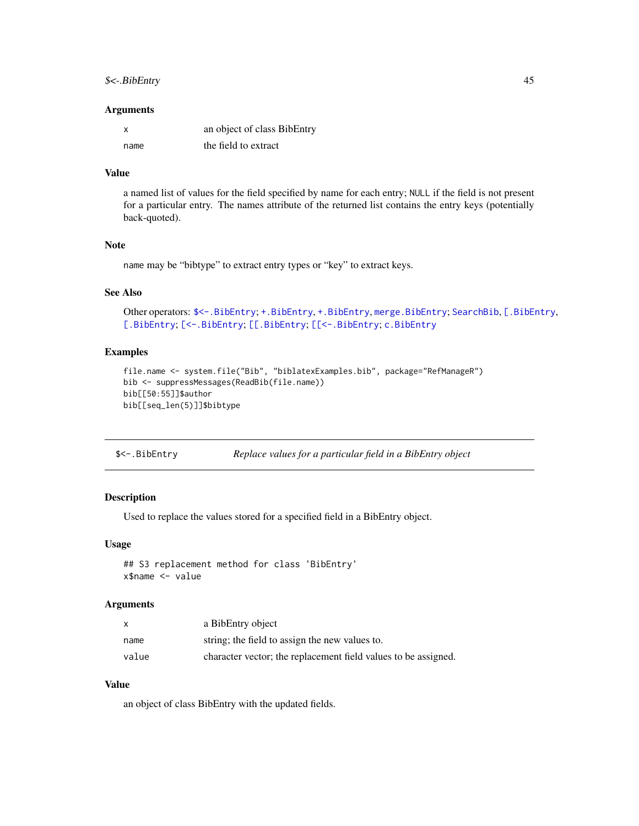## <span id="page-44-0"></span> $\frac{1}{5}$   $\leftarrow$  BibEntry 45

#### **Arguments**

| X    | an object of class BibEntry |
|------|-----------------------------|
| name | the field to extract        |

## Value

a named list of values for the field specified by name for each entry; NULL if the field is not present for a particular entry. The names attribute of the returned list contains the entry keys (potentially back-quoted).

#### Note

name may be "bibtype" to extract entry types or "key" to extract keys.

## See Also

```
Other operators: $<-.BibEntry; +.BibEntry, +.BibEntry, merge.BibEntry; SearchBib, [.BibEntry,
[.BibEntry; [<-.BibEntry; [[.BibEntry; [[<-.BibEntry; c.BibEntry
```
#### Examples

```
file.name <- system.file("Bib", "biblatexExamples.bib", package="RefManageR")
bib <- suppressMessages(ReadBib(file.name))
bib[[50:55]]$author
bib[[seq_len(5)]]$bibtype
```
<span id="page-44-1"></span>

| \$<-.BibEntry<br>Replace values for a particular field in a BibEntry object |
|-----------------------------------------------------------------------------|
|-----------------------------------------------------------------------------|

## Description

Used to replace the values stored for a specified field in a BibEntry object.

#### Usage

```
## S3 replacement method for class 'BibEntry'
x$name <- value
```
#### Arguments

|       | a BibEntry object                                              |
|-------|----------------------------------------------------------------|
| name  | string; the field to assign the new values to.                 |
| value | character vector; the replacement field values to be assigned. |

## Value

an object of class BibEntry with the updated fields.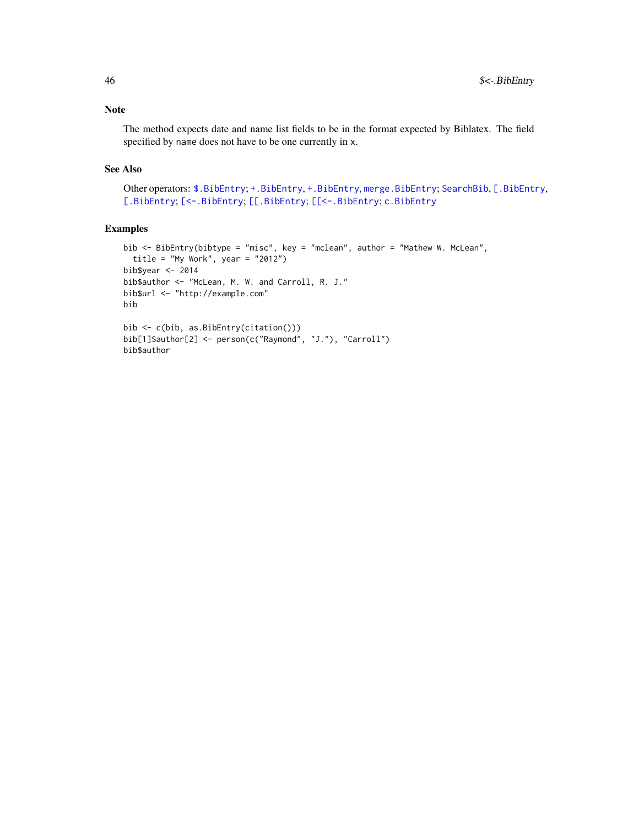## Note

The method expects date and name list fields to be in the format expected by Biblatex. The field specified by name does not have to be one currently in x.

## See Also

```
Other operators: $.BibEntry; +.BibEntry, +.BibEntry, merge.BibEntry; SearchBib, [.BibEntry,
[.BibEntry; [<-.BibEntry; [[.BibEntry; [[<-.BibEntry; c.BibEntry
```
## Examples

```
bib <- BibEntry(bibtype = "misc", key = "mclean", author = "Mathew W. McLean",
  title = "My Work", year = "2012")
bib$year <- 2014
bib$author <- "McLean, M. W. and Carroll, R. J."
bib$url <- "http://example.com"
bib
bib <- c(bib, as.BibEntry(citation()))
bib[1]$author[2] <- person(c("Raymond", "J."), "Carroll")
bib$author
```
<span id="page-45-0"></span>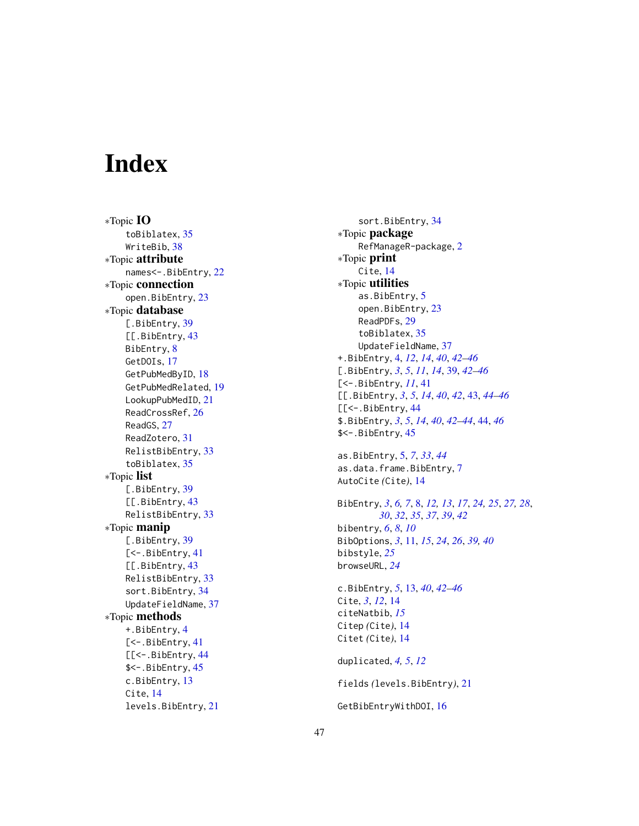# <span id="page-46-0"></span>**Index**

∗Topic IO toBiblatex , [35](#page-34-0) WriteBib, [38](#page-37-0) ∗Topic attribute names<-.BibEntry , [22](#page-21-0) ∗Topic connection open.BibEntry, [23](#page-22-0) ∗Topic database [.BibEntry, [39](#page-38-0) [[.BibEntry, [43](#page-42-0) BibEntry, [8](#page-7-0) GetDOIs, [17](#page-16-0) GetPubMedByID, [18](#page-17-0) GetPubMedRelated , [19](#page-18-0) LookupPubMedID , [21](#page-20-0) ReadCrossRef, [26](#page-25-0) ReadGS , [27](#page-26-0) ReadZotero , [31](#page-30-0) RelistBibEntry , [33](#page-32-0) toBiblatex , [35](#page-34-0) ∗Topic list [.BibEntry, [39](#page-38-0) [[.BibEntry, [43](#page-42-0) RelistBibEntry , [33](#page-32-0) ∗Topic manip [.BibEntry, [39](#page-38-0) [<-. BibEntry, [41](#page-40-0) [[.BibEntry, [43](#page-42-0) RelistBibEntry , [33](#page-32-0) sort.BibEntry, [34](#page-33-0) UpdateFieldName , [37](#page-36-0) ∗Topic methods +.BibEntry , [4](#page-3-0) [<-. BibEntry, [41](#page-40-0) [[<-. BibEntry, [44](#page-43-0) \$<-.BibEntry , [45](#page-44-0) c.BibEntry , [13](#page-12-0) Cite, [14](#page-13-0) levels.BibEntry , [21](#page-20-0)

sort.BibEntry , [34](#page-33-0) ∗Topic package RefManageR-package , [2](#page-1-0) ∗Topic print Cite, [14](#page-13-0) ∗Topic utilities as.BibEntry, [5](#page-4-0) open.BibEntry, [23](#page-22-0) ReadPDFs , [29](#page-28-0) toBiblatex , [35](#page-34-0) UpdateFieldName , [37](#page-36-0) +.BibEntry , [4](#page-3-0) , *[12](#page-11-0)* , *[14](#page-13-0)* , *[40](#page-39-0)* , *[42](#page-41-0) [–46](#page-45-0)* [.BibEntry , *[3](#page-2-0)* , *[5](#page-4-0)* , *[11](#page-10-0)* , *[14](#page-13-0)* , [39](#page-38-0) , *[42](#page-41-0) [–46](#page-45-0)* [<-.BibEntry , *[11](#page-10-0)* , [41](#page-40-0) [[.BibEntry , *[3](#page-2-0)* , *[5](#page-4-0)* , *[14](#page-13-0)* , *[40](#page-39-0)* , *[42](#page-41-0)* , [43](#page-42-0) , *[44](#page-43-0) [–46](#page-45-0)* [[<-. BibEntry, [44](#page-43-0) \$.BibEntry , *[3](#page-2-0)* , *[5](#page-4-0)* , *[14](#page-13-0)* , *[40](#page-39-0)* , *[42](#page-41-0) [–44](#page-43-0)* , [44](#page-43-0) , *[46](#page-45-0)* \$<-.BibEntry , [45](#page-44-0) as.BibEntry , [5](#page-4-0) , *[7](#page-6-0)* , *[33](#page-32-0)* , *[44](#page-43-0)* as.data.frame.BibEntry , [7](#page-6-0) AutoCite *(*Cite *)* , [14](#page-13-0) BibEntry , *[3](#page-2-0)* , *[6,](#page-5-0) [7](#page-6-0)* , [8](#page-7-0) , *[12](#page-11-0) , [13](#page-12-0)* , *[17](#page-16-0)* , *[24](#page-23-0) , [25](#page-24-0)* , *[27,](#page-26-0) [28](#page-27-0)* , *[30](#page-29-0)* , *[32](#page-31-0)* , *[35](#page-34-0)* , *[37](#page-36-0)* , *[39](#page-38-0)* , *[42](#page-41-0)* bibentry , *[6](#page-5-0)* , *[8](#page-7-0)* , *[10](#page-9-0)* BibOptions , *[3](#page-2-0)* , [11](#page-10-0) , *[15](#page-14-0)* , *[24](#page-23-0)* , *[26](#page-25-0)* , *[39](#page-38-0) , [40](#page-39-0)* bibstyle , *[25](#page-24-0)* browseURL , *[24](#page-23-0)* c.BibEntry , *[5](#page-4-0)* , [13](#page-12-0) , *[40](#page-39-0)* , *[42](#page-41-0) [–46](#page-45-0)* Cite, [3](#page-2-0), [12](#page-11-0), [14](#page-13-0) citeNatbib , *[15](#page-14-0)* Citep *(*Cite *)* , [14](#page-13-0) Citet (Cite), [14](#page-13-0) duplicated , *[4](#page-3-0) , [5](#page-4-0)* , *[12](#page-11-0)* fields *(*levels.BibEntry *)* , [21](#page-20-0) GetBibEntryWithDOI , [16](#page-15-0)